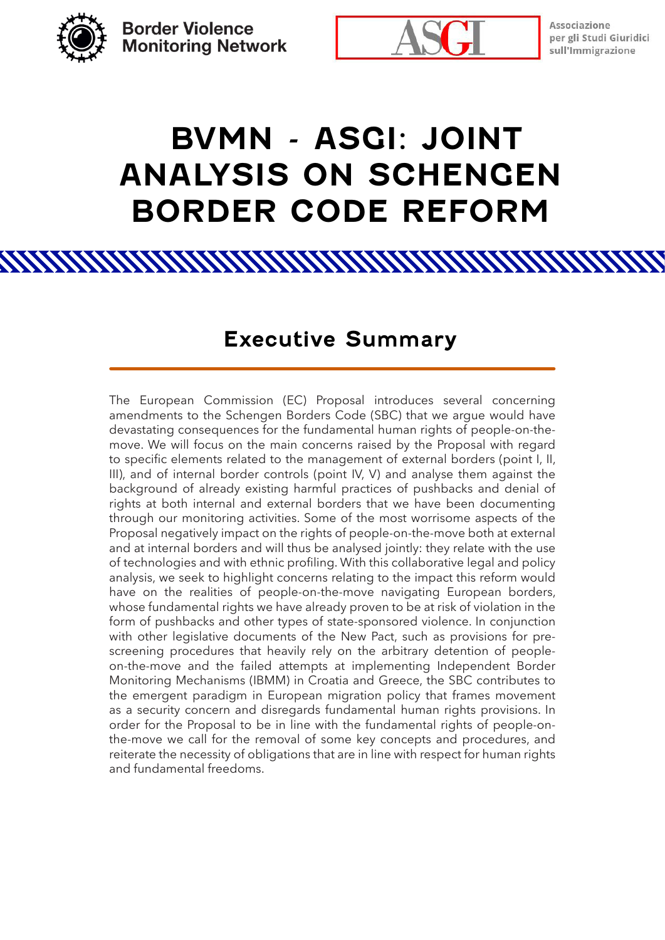**Border Violence Monitoring Network** 



Associazione per gli Studi Giuridici sull'Immigrazione

# **BVMN - ASGI: JOINT ANALYSIS ON SCHENGEN BORDER CODE REFORM**

### **Executive Summary**

<u> ATAN AN MANAMAN MANAMAN MANAMAN MANAMAN M</u>

The European Commission (EC) Proposal introduces several concerning amendments to the Schengen Borders Code (SBC) that we argue would have devastating consequences for the fundamental human rights of people-on-themove. We will focus on the main concerns raised by the Proposal with regard to specific elements related to the management of external borders (point I, II, III), and of internal border controls (point IV, V) and analyse them against the background of already existing harmful practices of pushbacks and denial of rights at both internal and external borders that we have been documenting through our monitoring activities. Some of the most worrisome aspects of the Proposal negatively impact on the rights of people-on-the-move both at external and at internal borders and will thus be analysed jointly: they relate with the use of technologies and with ethnic profiling. With this collaborative legal and policy analysis, we seek to highlight concerns relating to the impact this reform would have on the realities of people-on-the-move navigating European borders, whose fundamental rights we have already proven to be at risk of violation in the form of pushbacks and other types of state-sponsored violence. In conjunction with other legislative documents of the New Pact, such as provisions for prescreening procedures that heavily rely on the arbitrary detention of peopleon-the-move and the failed attempts at implementing Independent Border Monitoring Mechanisms (IBMM) in Croatia and Greece, the SBC contributes to the emergent paradigm in European migration policy that frames movement as a security concern and disregards fundamental human rights provisions. In order for the Proposal to be in line with the fundamental rights of people-onthe-move we call for the removal of some key concepts and procedures, and reiterate the necessity of obligations that are in line with respect for human rights and fundamental freedoms.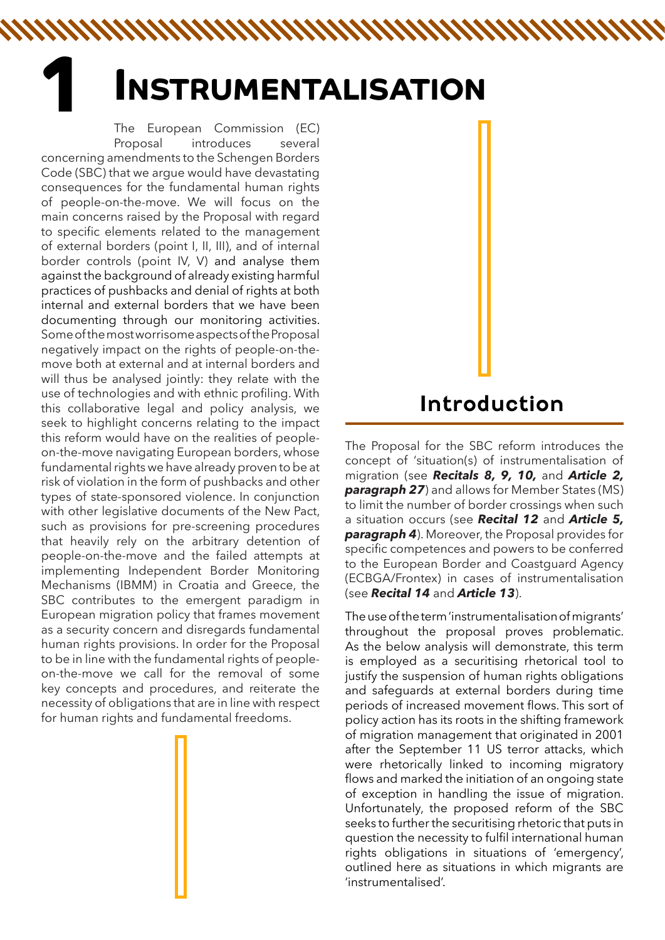# **1 INSTRUMENTALISATION**

NNAMAN MANAHAMAN MANAHAMAN M

The European Commission (EC) Proposal introduces several concerning amendments to the Schengen Borders Code (SBC) that we argue would have devastating consequences for the fundamental human rights of people-on-the-move. We will focus on the main concerns raised by the Proposal with regard to specific elements related to the management of external borders (point I, II, III), and of internal border controls (point IV, V) and analyse them against the background of already existing harmful practices of pushbacks and denial of rights at both internal and external borders that we have been documenting through our monitoring activities. Some of the most worrisome aspects of the Proposal negatively impact on the rights of people-on-themove both at external and at internal borders and will thus be analysed jointly: they relate with the use of technologies and with ethnic profiling. With this collaborative legal and policy analysis, we seek to highlight concerns relating to the impact this reform would have on the realities of peopleon-the-move navigating European borders, whose fundamental rights we have already proven to be at risk of violation in the form of pushbacks and other types of state-sponsored violence. In conjunction with other legislative documents of the New Pact, such as provisions for pre-screening procedures that heavily rely on the arbitrary detention of people-on-the-move and the failed attempts at implementing Independent Border Monitoring Mechanisms (IBMM) in Croatia and Greece, the SBC contributes to the emergent paradigm in European migration policy that frames movement as a security concern and disregards fundamental human rights provisions. In order for the Proposal to be in line with the fundamental rights of peopleon-the-move we call for the removal of some key concepts and procedures, and reiterate the necessity of obligations that are in line with respect for human rights and fundamental freedoms.

# **Introduction**

The Proposal for the SBC reform introduces the concept of 'situation(s) of instrumentalisation of migration (see *Recitals 8, 9, 10,* and *Article 2,*  **paragraph 27**) and allows for Member States (MS) to limit the number of border crossings when such a situation occurs (see *Recital 12* and *Article 5, paragraph 4*). Moreover, the Proposal provides for specific competences and powers to be conferred to the European Border and Coastguard Agency (ECBGA/Frontex) in cases of instrumentalisation (see *Recital 14* and *Article 13*).

The use of the term 'instrumentalisation of migrants' throughout the proposal proves problematic. As the below analysis will demonstrate, this term is employed as a securitising rhetorical tool to justify the suspension of human rights obligations and safeguards at external borders during time periods of increased movement flows. This sort of policy action has its roots in the shifting framework of migration management that originated in 2001 after the September 11 US terror attacks, which were rhetorically linked to incoming migratory flows and marked the initiation of an ongoing state of exception in handling the issue of migration. Unfortunately, the proposed reform of the SBC seeks to further the securitising rhetoric that puts in question the necessity to fulfil international human rights obligations in situations of 'emergency', outlined here as situations in which migrants are 'instrumentalised'.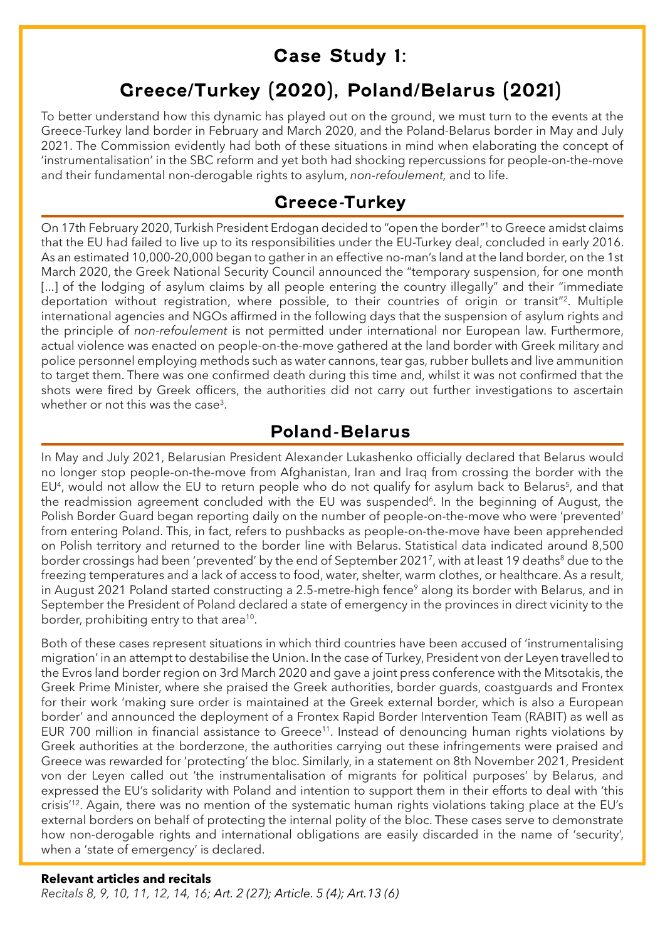## **Case Study 1:**

# **Greece/Turkey (2020), Poland/Belarus (2021)**

To better understand how this dynamic has played out on the ground, we must turn to the events at the Greece-Turkey land border in February and March 2020, and the Poland-Belarus border in May and July 2021. The Commission evidently had both of these situations in mind when elaborating the concept of 'instrumentalisation' in the SBC reform and yet both had shocking repercussions for people-on-the-move and their fundamental non-derogable rights to asylum, *non-refoulement,* and to life.

#### **Greece-Turkey**

On 17th February 2020, Turkish President Erdogan decided to "open the border"1 to Greece amidst claims that the EU had failed to live up to its responsibilities under the EU-Turkey deal, concluded in early 2016. As an estimated 10,000-20,000 began to gather in an effective no-man's land at the land border, on the 1st March 2020, the Greek National Security Council announced the "temporary suspension, for one month [...] of the lodging of asylum claims by all people entering the country illegally" and their "immediate deportation without registration, where possible, to their countries of origin or transit"2. Multiple international agencies and NGOs affirmed in the following days that the suspension of asylum rights and the principle of *non-refoulement* is not permitted under international nor European law. Furthermore, actual violence was enacted on people-on-the-move gathered at the land border with Greek military and police personnel employing methods such as water cannons, tear gas, rubber bullets and live ammunition to target them. There was one confirmed death during this time and, whilst it was not confirmed that the shots were fired by Greek officers, the authorities did not carry out further investigations to ascertain whether or not this was the case<sup>3</sup>.

#### **Poland-Belarus**

In May and July 2021, Belarusian President Alexander Lukashenko officially declared that Belarus would no longer stop people-on-the-move from Afghanistan, Iran and Iraq from crossing the border with the EU<sup>4</sup>, would not allow the EU to return people who do not qualify for asylum back to Belarus<sup>5</sup>, and that the readmission agreement concluded with the EU was suspended<sup>6</sup>. In the beginning of August, the Polish Border Guard began reporting daily on the number of people-on-the-move who were 'prevented' from entering Poland. This, in fact, refers to pushbacks as people-on-the-move have been apprehended on Polish territory and returned to the border line with Belarus. Statistical data indicated around 8,500 border crossings had been 'prevented' by the end of September 2021<sup>7</sup>, with at least 19 deaths<sup>8</sup> due to the freezing temperatures and a lack of access to food, water, shelter, warm clothes, or healthcare. As a result, in August 2021 Poland started constructing a 2.5-metre-high fence<sup>9</sup> along its border with Belarus, and in September the President of Poland declared a state of emergency in the provinces in direct vicinity to the border, prohibiting entry to that area<sup>10</sup>.

Both of these cases represent situations in which third countries have been accused of 'instrumentalising migration' in an attempt to destabilise the Union. In the case of Turkey, President von der Leyen travelled to the Evros land border region on 3rd March 2020 and gave a joint press conference with the Mitsotakis, the Greek Prime Minister, where she praised the Greek authorities, border guards, coastguards and Frontex for their work 'making sure order is maintained at the Greek external border, which is also a European border' and announced the deployment of a Frontex Rapid Border Intervention Team (RABIT) as well as EUR 700 million in financial assistance to Greece<sup>11</sup>. Instead of denouncing human rights violations by Greek authorities at the borderzone, the authorities carrying out these infringements were praised and Greece was rewarded for 'protecting' the bloc. Similarly, in a statement on 8th November 2021, President von der Leyen called out 'the instrumentalisation of migrants for political purposes' by Belarus, and expressed the EU's solidarity with Poland and intention to support them in their efforts to deal with 'this crisis<sup>'12</sup>. Again, there was no mention of the systematic human rights violations taking place at the EU's external borders on behalf of protecting the internal polity of the bloc. These cases serve to demonstrate how non-derogable rights and international obligations are easily discarded in the name of 'security', when a 'state of emergency' is declared.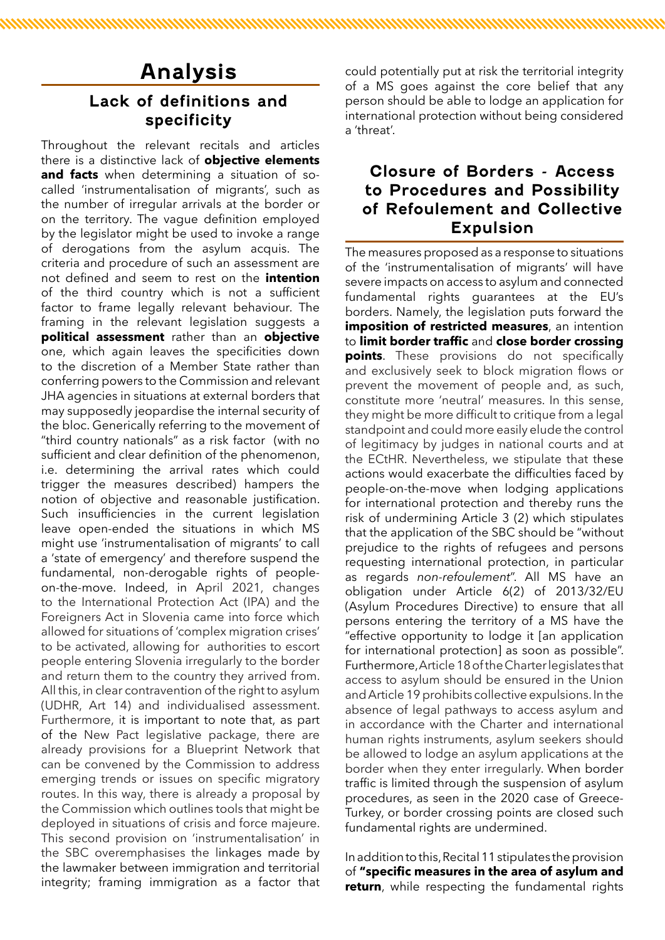## **Analysis**

#### **Lack of definitions and specificity**

Throughout the relevant recitals and articles there is a distinctive lack of **objective elements and facts** when determining a situation of socalled 'instrumentalisation of migrants', such as the number of irregular arrivals at the border or on the territory. The vague definition employed by the legislator might be used to invoke a range of derogations from the asylum acquis. The criteria and procedure of such an assessment are not defined and seem to rest on the **intention**  of the third country which is not a sufficient factor to frame legally relevant behaviour. The framing in the relevant legislation suggests a **political assessment** rather than an **objective**  one, which again leaves the specificities down to the discretion of a Member State rather than conferring powers to the Commission and relevant JHA agencies in situations at external borders that may supposedly jeopardise the internal security of the bloc. Generically referring to the movement of "third country nationals" as a risk factor (with no sufficient and clear definition of the phenomenon, i.e. determining the arrival rates which could trigger the measures described) hampers the notion of objective and reasonable justification. Such insufficiencies in the current legislation leave open-ended the situations in which MS might use 'instrumentalisation of migrants' to call a 'state of emergency' and therefore suspend the fundamental, non-derogable rights of peopleon-the-move. Indeed, in April 2021, changes to the International Protection Act (IPA) and the Foreigners Act in Slovenia came into force which allowed for situations of 'complex migration crises' to be activated, allowing for authorities to escort people entering Slovenia irregularly to the border and return them to the country they arrived from. All this, in clear contravention of the right to asylum (UDHR, Art 14) and individualised assessment. Furthermore, it is important to note that, as part of the New Pact legislative package, there are already provisions for a Blueprint Network that can be convened by the Commission to address emerging trends or issues on specific migratory routes. In this way, there is already a proposal by the Commission which outlines tools that might be deployed in situations of crisis and force majeure. This second provision on 'instrumentalisation' in the SBC overemphasises the linkages made by the lawmaker between immigration and territorial integrity; framing immigration as a factor that

could potentially put at risk the territorial integrity of a MS goes against the core belief that any person should be able to lodge an application for international protection without being considered a 'threat'.

#### **Closure of Borders - Access to Procedures and Possibility of Refoulement and Collective Expulsion**

The measures proposed as a response to situations of the 'instrumentalisation of migrants' will have severe impacts on access to asylum and connected fundamental rights guarantees at the EU's borders. Namely, the legislation puts forward the **imposition of restricted measures**, an intention to **limit border traffic** and **close border crossing points**. These provisions do not specifically and exclusively seek to block migration flows or prevent the movement of people and, as such, constitute more 'neutral' measures. In this sense, they might be more difficult to critique from a legal standpoint and could more easily elude the control of legitimacy by judges in national courts and at the ECtHR. Nevertheless, we stipulate that these actions would exacerbate the difficulties faced by people-on-the-move when lodging applications for international protection and thereby runs the risk of undermining Article 3 (2) which stipulates that the application of the SBC should be "without prejudice to the rights of refugees and persons requesting international protection, in particular as regards *non-refoulement*". All MS have an obligation under Article 6(2) of 2013/32/EU (Asylum Procedures Directive) to ensure that all persons entering the territory of a MS have the "effective opportunity to lodge it [an application for international protection] as soon as possible". Furthermore, Article 18 of the Charter legislates that access to asylum should be ensured in the Union and Article 19 prohibits collective expulsions. In the absence of legal pathways to access asylum and in accordance with the Charter and international human rights instruments, asylum seekers should be allowed to lodge an asylum applications at the border when they enter irregularly. When border traffic is limited through the suspension of asylum procedures, as seen in the 2020 case of Greece-Turkey, or border crossing points are closed such fundamental rights are undermined.

In addition to this, Recital 11 stipulates the provision of **"specific measures in the area of asylum and return**, while respecting the fundamental rights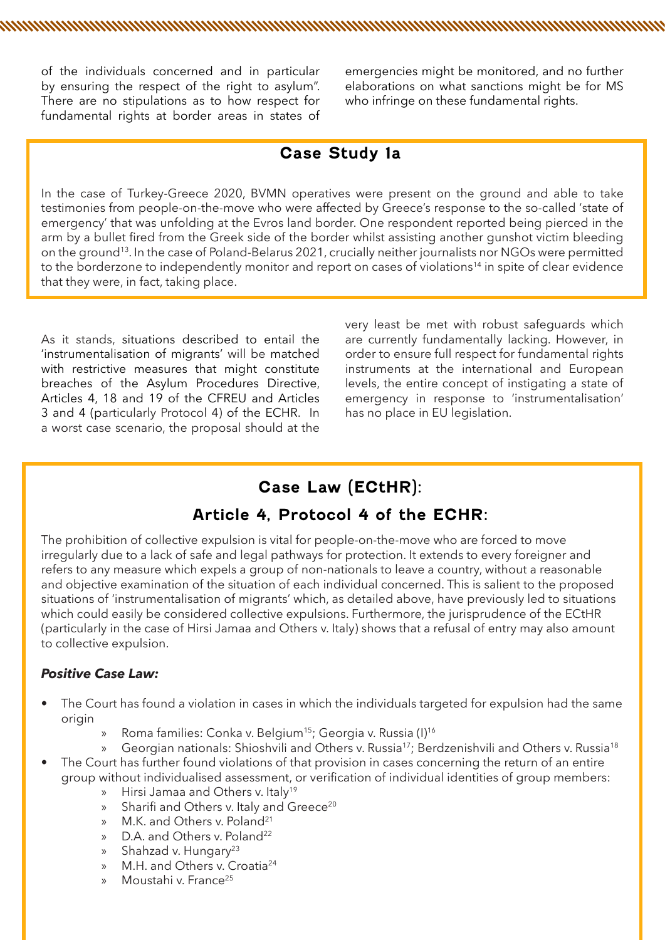of the individuals concerned and in particular by ensuring the respect of the right to asylum". There are no stipulations as to how respect for fundamental rights at border areas in states of

emergencies might be monitored, and no further elaborations on what sanctions might be for MS who infringe on these fundamental rights.

#### **Case Study 1a**

n and a man and a man and a man and a man and a man and a man and a man and a man and a man and a man and a ma

In the case of Turkey-Greece 2020, BVMN operatives were present on the ground and able to take testimonies from people-on-the-move who were affected by Greece's response to the so-called 'state of emergency' that was unfolding at the Evros land border. One respondent reported being pierced in the arm by a bullet fired from the Greek side of the border whilst assisting another gunshot victim bleeding on the ground13. In the case of Poland-Belarus 2021, crucially neither journalists nor NGOs were permitted to the borderzone to independently monitor and report on cases of violations<sup>14</sup> in spite of clear evidence that they were, in fact, taking place.

As it stands, situations described to entail the 'instrumentalisation of migrants' will be matched with restrictive measures that might constitute breaches of the Asylum Procedures Directive, Articles 4, 18 and 19 of the CFREU and Articles 3 and 4 (particularly Protocol 4) of the ECHR. In a worst case scenario, the proposal should at the

very least be met with robust safeguards which are currently fundamentally lacking. However, in order to ensure full respect for fundamental rights instruments at the international and European levels, the entire concept of instigating a state of emergency in response to 'instrumentalisation' has no place in EU legislation.

#### **Case Law (ECtHR):**

#### **Article 4, Protocol 4 of the ECHR:**

The prohibition of collective expulsion is vital for people-on-the-move who are forced to move irregularly due to a lack of safe and legal pathways for protection. It extends to every foreigner and refers to any measure which expels a group of non-nationals to leave a country, without a reasonable and objective examination of the situation of each individual concerned. This is salient to the proposed situations of 'instrumentalisation of migrants' which, as detailed above, have previously led to situations which could easily be considered collective expulsions. Furthermore, the jurisprudence of the ECtHR (particularly in the case of Hirsi Jamaa and Others v. Italy) shows that a refusal of entry may also amount to collective expulsion.

#### *Positive Case Law:*

- The Court has found a violation in cases in which the individuals targeted for expulsion had the same origin
	- » Roma families: Conka v. Belgium<sup>15</sup>; Georgia v. Russia (I)<sup>16</sup>
	- Georgian nationals: Shioshvili and Others v. Russia<sup>17</sup>; Berdzenishvili and Others v. Russia<sup>18</sup>
- The Court has further found violations of that provision in cases concerning the return of an entire group without individualised assessment, or verification of individual identities of group members:
	- » Hirsi Jamaa and Others v. Italy<sup>19</sup>
	- » Sharifi and Others v. Italy and Greece<sup>20</sup><br>» M.K. and Others v. Poland<sup>21</sup>
	- M.K. and Others v. Poland<sup>21</sup>
	- » D.A. and Others v. Poland<sup>22</sup>
	- » Shahzad v. Hungary<sup>23</sup>
	- » M.H. and Others v. Croatia24
	- Moustahi v. France<sup>25</sup>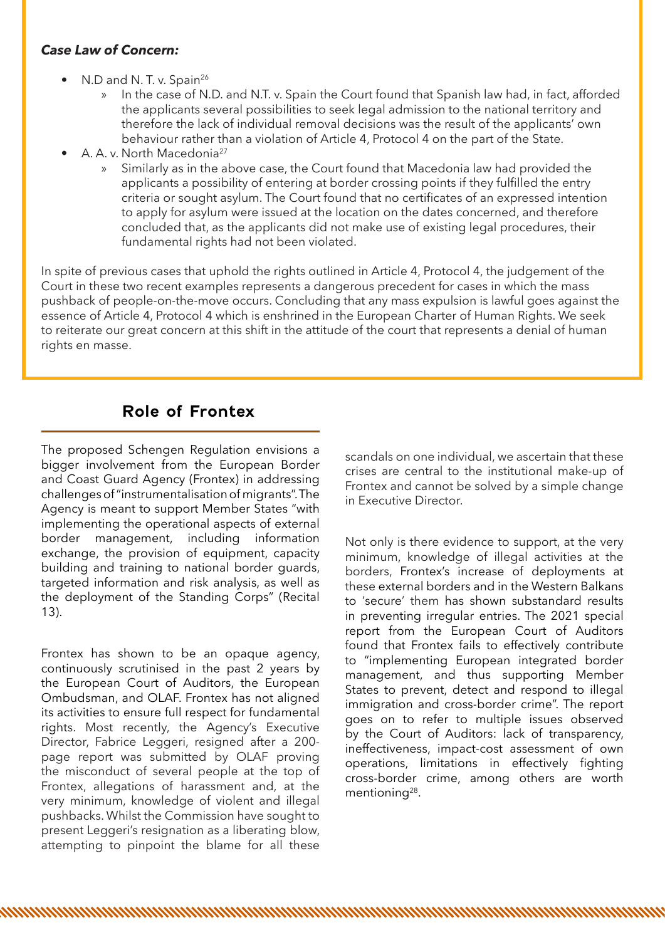#### *Case Law of Concern:*

- N.D and N.T. v. Spain<sup>26</sup>
	- » In the case of N.D. and N.T. v. Spain the Court found that Spanish law had, in fact, afforded the applicants several possibilities to seek legal admission to the national territory and therefore the lack of individual removal decisions was the result of the applicants' own behaviour rather than a violation of Article 4, Protocol 4 on the part of the State.
- A. A. v. North Macedonia27
	- » Similarly as in the above case, the Court found that Macedonia law had provided the applicants a possibility of entering at border crossing points if they fulfilled the entry criteria or sought asylum. The Court found that no certificates of an expressed intention to apply for asylum were issued at the location on the dates concerned, and therefore concluded that, as the applicants did not make use of existing legal procedures, their fundamental rights had not been violated.

In spite of previous cases that uphold the rights outlined in Article 4, Protocol 4, the judgement of the Court in these two recent examples represents a dangerous precedent for cases in which the mass pushback of people-on-the-move occurs. Concluding that any mass expulsion is lawful goes against the essence of Article 4, Protocol 4 which is enshrined in the European Charter of Human Rights. We seek to reiterate our great concern at this shift in the attitude of the court that represents a denial of human rights en masse.

<u> MANAMAN MANAMAN MANAMAN MANAMAN MANAMAN MANAMAN MANAMAN MAN</u>

#### **Role of Frontex**

The proposed Schengen Regulation envisions a bigger involvement from the European Border and Coast Guard Agency (Frontex) in addressing challenges of "instrumentalisation of migrants". The Agency is meant to support Member States "with implementing the operational aspects of external border management, including information exchange, the provision of equipment, capacity building and training to national border guards, targeted information and risk analysis, as well as the deployment of the Standing Corps" (Recital 13).

Frontex has shown to be an opaque agency, continuously scrutinised in the past 2 years by the European Court of Auditors, the European Ombudsman, and OLAF. Frontex has not aligned its activities to ensure full respect for fundamental rights. Most recently, the Agency's Executive Director, Fabrice Leggeri, resigned after a 200 page report was submitted by OLAF proving the misconduct of several people at the top of Frontex, allegations of harassment and, at the very minimum, knowledge of violent and illegal pushbacks. Whilst the Commission have sought to present Leggeri's resignation as a liberating blow, attempting to pinpoint the blame for all these

scandals on one individual, we ascertain that these crises are central to the institutional make-up of Frontex and cannot be solved by a simple change in Executive Director.

Not only is there evidence to support, at the very minimum, knowledge of illegal activities at the borders, Frontex's increase of deployments at these external borders and in the Western Balkans to 'secure' them has shown substandard results in preventing irregular entries. The 2021 special report from the European Court of Auditors found that Frontex fails to effectively contribute to "implementing European integrated border management, and thus supporting Member States to prevent, detect and respond to illegal immigration and cross-border crime". The report goes on to refer to multiple issues observed by the Court of Auditors: lack of transparency, ineffectiveness, impact-cost assessment of own operations, limitations in effectively fighting cross-border crime, among others are worth mentioning<sup>28</sup>.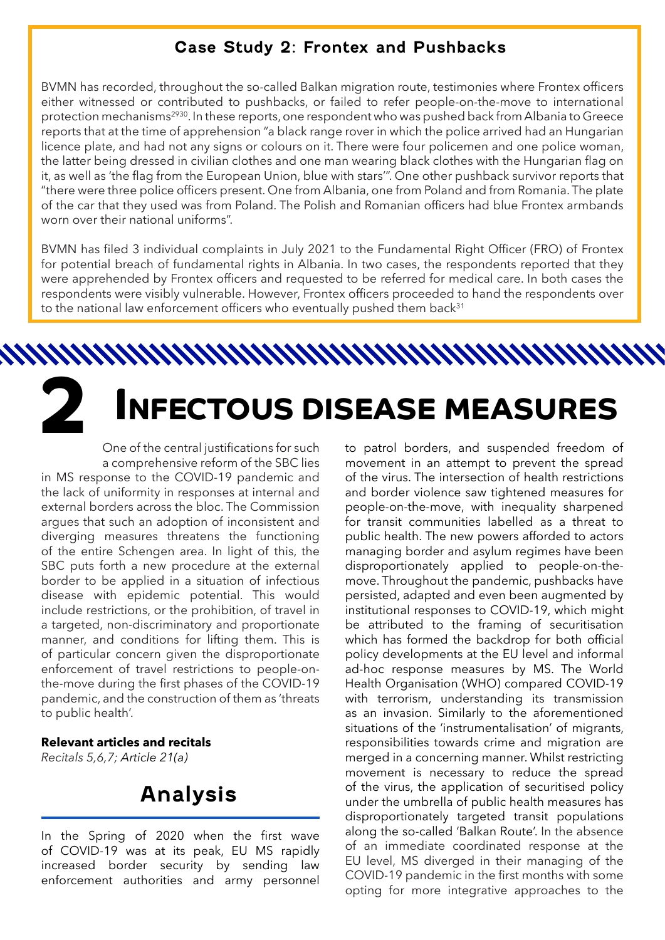#### **Case Study 2: Frontex and Pushbacks**

BVMN has recorded, throughout the so-called Balkan migration route, testimonies where Frontex officers either witnessed or contributed to pushbacks, or failed to refer people-on-the-move to international protection mechanisms<sup>2930</sup>. In these reports, one respondent who was pushed back from Albania to Greece reports that at the time of apprehension "a black range rover in which the police arrived had an Hungarian licence plate, and had not any signs or colours on it. There were four policemen and one police woman, the latter being dressed in civilian clothes and one man wearing black clothes with the Hungarian flag on it, as well as 'the flag from the European Union, blue with stars'". One other pushback survivor reports that "there were three police officers present. One from Albania, one from Poland and from Romania. The plate of the car that they used was from Poland. The Polish and Romanian officers had blue Frontex armbands worn over their national uniforms".

BVMN has filed 3 individual complaints in July 2021 to the Fundamental Right Officer (FRO) of Frontex for potential breach of fundamental rights in Albania. In two cases, the respondents reported that they were apprehended by Frontex officers and requested to be referred for medical care. In both cases the respondents were visibly vulnerable. However, Frontex officers proceeded to hand the respondents over to the national law enforcement officers who eventually pushed them back<sup>31</sup>

**2 INFECTOUS DISEASE MEASURES**

One of the central justifications for such a comprehensive reform of the SBC lies in MS response to the COVID-19 pandemic and the lack of uniformity in responses at internal and external borders across the bloc. The Commission argues that such an adoption of inconsistent and diverging measures threatens the functioning of the entire Schengen area. In light of this, the SBC puts forth a new procedure at the external border to be applied in a situation of infectious disease with epidemic potential. This would include restrictions, or the prohibition, of travel in a targeted, non-discriminatory and proportionate manner, and conditions for lifting them. This is of particular concern given the disproportionate enforcement of travel restrictions to people-onthe-move during the first phases of the COVID-19 pandemic, and the construction of them as 'threats to public health'.

#### **Relevant articles and recitals**

*Recitals 5,6,7; Article 21(a)*

## **Analysis**

In the Spring of 2020 when the first wave of COVID-19 was at its peak, EU MS rapidly increased border security by sending law enforcement authorities and army personnel

to patrol borders, and suspended freedom of movement in an attempt to prevent the spread of the virus. The intersection of health restrictions and border violence saw tightened measures for people-on-the-move, with inequality sharpened for transit communities labelled as a threat to public health. The new powers afforded to actors managing border and asylum regimes have been disproportionately applied to people-on-themove. Throughout the pandemic, pushbacks have persisted, adapted and even been augmented by institutional responses to COVID-19, which might be attributed to the framing of securitisation which has formed the backdrop for both official policy developments at the EU level and informal ad-hoc response measures by MS. The World Health Organisation (WHO) compared COVID-19 with terrorism, understanding its transmission as an invasion. Similarly to the aforementioned situations of the 'instrumentalisation' of migrants, responsibilities towards crime and migration are merged in a concerning manner. Whilst restricting movement is necessary to reduce the spread of the virus, the application of securitised policy under the umbrella of public health measures has disproportionately targeted transit populations along the so-called 'Balkan Route'. In the absence of an immediate coordinated response at the EU level, MS diverged in their managing of the COVID-19 pandemic in the first months with some opting for more integrative approaches to the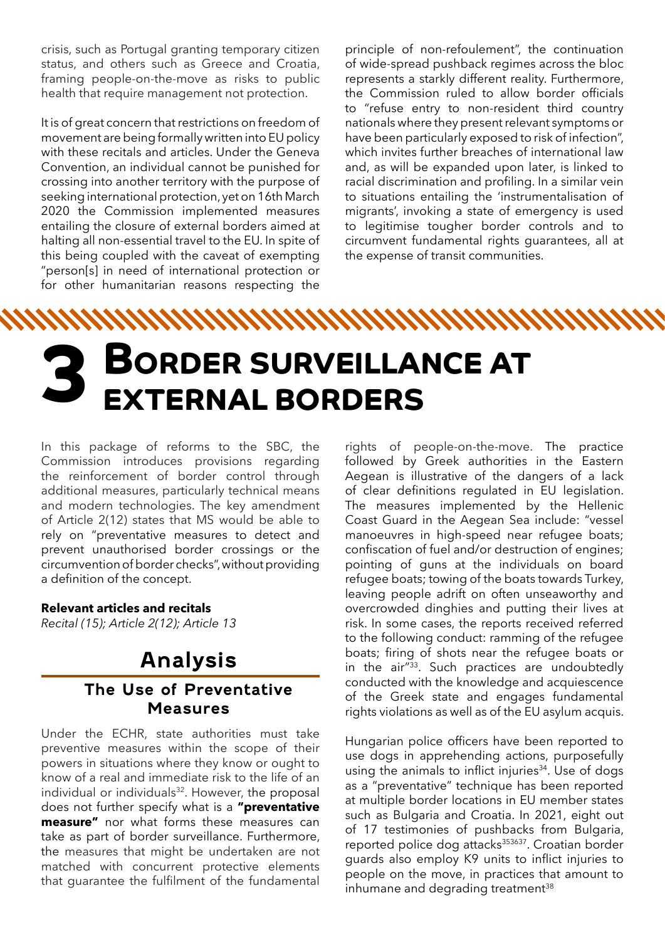crisis, such as Portugal granting temporary citizen status, and others such as Greece and Croatia, framing people-on-the-move as risks to public health that require management not protection.

It is of great concern that restrictions on freedom of movement are being formally written into EU policy with these recitals and articles. Under the Geneva Convention, an individual cannot be punished for crossing into another territory with the purpose of seeking international protection, yet on 16th March 2020 the Commission implemented measures entailing the closure of external borders aimed at halting all non-essential travel to the EU. In spite of this being coupled with the caveat of exempting "person[s] in need of international protection or for other humanitarian reasons respecting the

principle of non-refoulement", the continuation of wide-spread pushback regimes across the bloc represents a starkly different reality. Furthermore, the Commission ruled to allow border officials to "refuse entry to non-resident third country nationals where they present relevant symptoms or have been particularly exposed to risk of infection", which invites further breaches of international law and, as will be expanded upon later, is linked to racial discrimination and profiling. In a similar vein to situations entailing the 'instrumentalisation of migrants', invoking a state of emergency is used to legitimise tougher border controls and to circumvent fundamental rights guarantees, all at the expense of transit communities.

# **BORDER SURVEILLANCE AT<br>EXTERNAL BORDERS**

In this package of reforms to the SBC, the Commission introduces provisions regarding the reinforcement of border control through additional measures, particularly technical means and modern technologies. The key amendment of Article 2(12) states that MS would be able to rely on "preventative measures to detect and prevent unauthorised border crossings or the circumvention of border checks", without providing a definition of the concept.

#### **Relevant articles and recitals**

*Recital (15); Article 2(12); Article 13*

# **Analysis**

#### **The Use of Preventative Measures**

Under the ECHR, state authorities must take preventive measures within the scope of their powers in situations where they know or ought to know of a real and immediate risk to the life of an individual or individuals<sup>32</sup>. However, the proposal does not further specify what is a **"preventative measure"** nor what forms these measures can take as part of border surveillance. Furthermore, the measures that might be undertaken are not matched with concurrent protective elements that guarantee the fulfilment of the fundamental

rights of people-on-the-move. The practice followed by Greek authorities in the Eastern Aegean is illustrative of the dangers of a lack of clear definitions regulated in EU legislation. The measures implemented by the Hellenic Coast Guard in the Aegean Sea include: "vessel manoeuvres in high-speed near refugee boats; confiscation of fuel and/or destruction of engines; pointing of guns at the individuals on board refugee boats; towing of the boats towards Turkey, leaving people adrift on often unseaworthy and overcrowded dinghies and putting their lives at risk. In some cases, the reports received referred to the following conduct: ramming of the refugee boats; firing of shots near the refugee boats or in the air"33. Such practices are undoubtedly conducted with the knowledge and acquiescence of the Greek state and engages fundamental rights violations as well as of the EU asylum acquis.

Hungarian police officers have been reported to use dogs in apprehending actions, purposefully using the animals to inflict injuries<sup>34</sup>. Use of dogs as a "preventative" technique has been reported at multiple border locations in EU member states such as Bulgaria and Croatia. In 2021, eight out of 17 testimonies of pushbacks from Bulgaria, reported police dog attacks<sup>353637</sup>. Croatian border guards also employ K9 units to inflict injuries to people on the move, in practices that amount to inhumane and degrading treatment<sup>38</sup>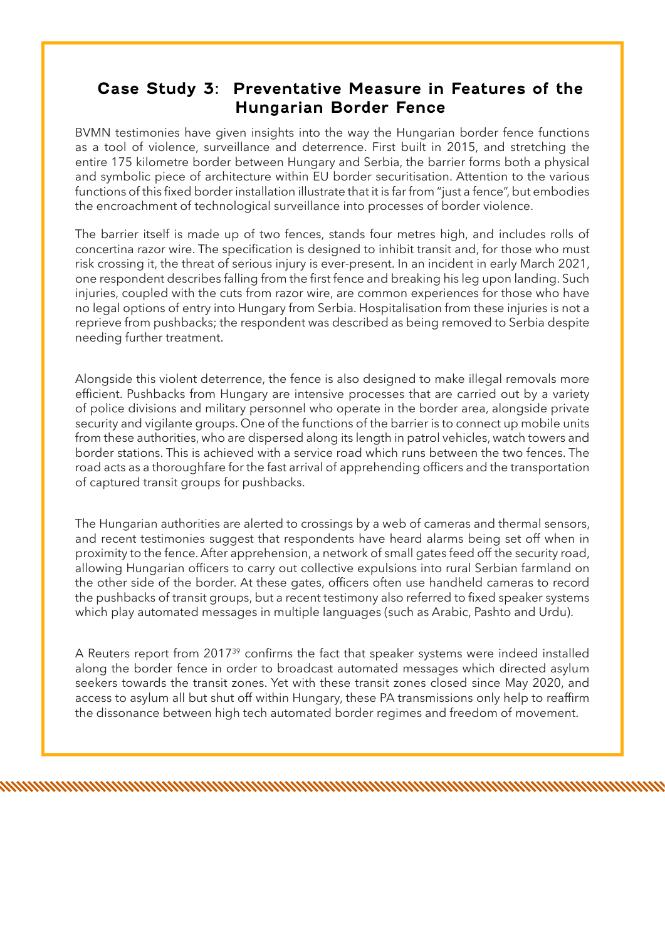#### **Case Study 3: Preventative Measure in Features of the Hungarian Border Fence**

BVMN testimonies have given insights into the way the Hungarian border fence functions as a tool of violence, surveillance and deterrence. First built in 2015, and stretching the entire 175 kilometre border between Hungary and Serbia, the barrier forms both a physical and symbolic piece of architecture within EU border securitisation. Attention to the various functions of this fixed border installation illustrate that it is far from "just a fence", but embodies the encroachment of technological surveillance into processes of border violence.

The barrier itself is made up of two fences, stands four metres high, and includes rolls of concertina razor wire. The specification is designed to inhibit transit and, for those who must risk crossing it, the threat of serious injury is ever-present. In an incident in early March 2021, one respondent describes falling from the first fence and breaking his leg upon landing. Such injuries, coupled with the cuts from razor wire, are common experiences for those who have no legal options of entry into Hungary from Serbia. Hospitalisation from these injuries is not a reprieve from pushbacks; the respondent was described as being removed to Serbia despite needing further treatment.

Alongside this violent deterrence, the fence is also designed to make illegal removals more efficient. Pushbacks from Hungary are intensive processes that are carried out by a variety of police divisions and military personnel who operate in the border area, alongside private security and vigilante groups. One of the functions of the barrier is to connect up mobile units from these authorities, who are dispersed along its length in patrol vehicles, watch towers and border stations. This is achieved with a service road which runs between the two fences. The road acts as a thoroughfare for the fast arrival of apprehending officers and the transportation of captured transit groups for pushbacks.

The Hungarian authorities are alerted to crossings by a web of cameras and thermal sensors, and recent testimonies suggest that respondents have heard alarms being set off when in proximity to the fence. After apprehension, a network of small gates feed off the security road, allowing Hungarian officers to carry out collective expulsions into rural Serbian farmland on the other side of the border. At these gates, officers often use handheld cameras to record the pushbacks of transit groups, but a recent testimony also referred to fixed speaker systems which play automated messages in multiple languages (such as Arabic, Pashto and Urdu).

A Reuters report from 2017<sup>39</sup> confirms the fact that speaker systems were indeed installed along the border fence in order to broadcast automated messages which directed asylum seekers towards the transit zones. Yet with these transit zones closed since May 2020, and access to asylum all but shut off within Hungary, these PA transmissions only help to reaffirm the dissonance between high tech automated border regimes and freedom of movement.

n and a matematic community of the control of the control of the control of the control of the control of the c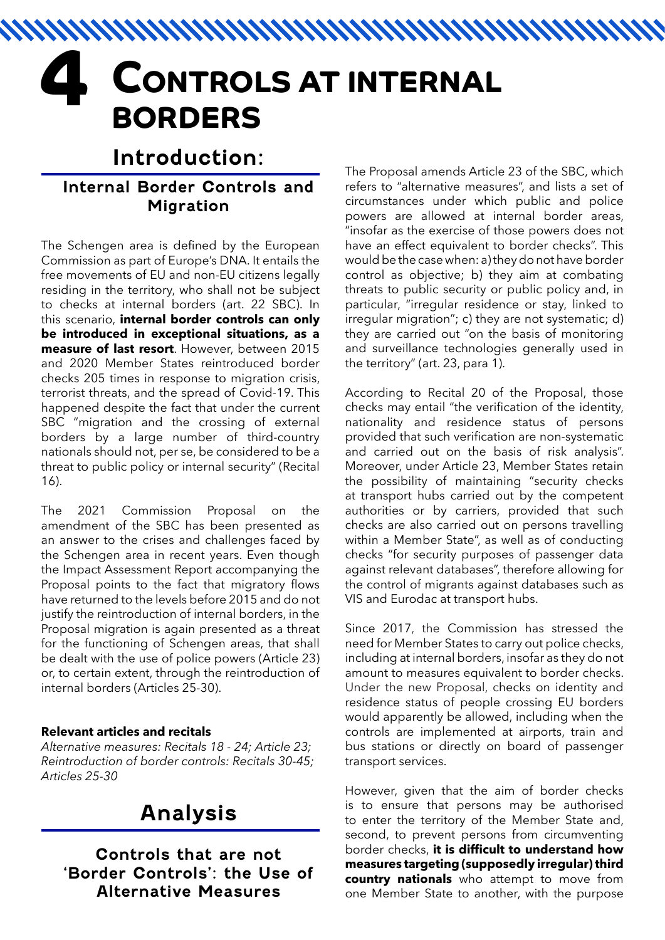# **CONTROLS AT INTERNAL BORDERS**

# **Introduction:**

#### **Internal Border Controls and Migration**

The Schengen area is defined by the European Commission as part of Europe's DNA. It entails the free movements of EU and non-EU citizens legally residing in the territory, who shall not be subject to checks at internal borders (art. 22 SBC). In this scenario, **internal border controls can only be introduced in exceptional situations, as a measure of last resort**. However, between 2015 and 2020 Member States reintroduced border checks 205 times in response to migration crisis, terrorist threats, and the spread of Covid-19. This happened despite the fact that under the current SBC "migration and the crossing of external borders by a large number of third-country nationals should not, per se, be considered to be a threat to public policy or internal security" (Recital 16).

The 2021 Commission Proposal on the amendment of the SBC has been presented as an answer to the crises and challenges faced by the Schengen area in recent years. Even though the Impact Assessment Report accompanying the Proposal points to the fact that migratory flows have returned to the levels before 2015 and do not justify the reintroduction of internal borders, in the Proposal migration is again presented as a threat for the functioning of Schengen areas, that shall be dealt with the use of police powers (Article 23) or, to certain extent, through the reintroduction of internal borders (Articles 25-30).

#### **Relevant articles and recitals**

*Alternative measures: Recitals 18 - 24; Article 23; Reintroduction of border controls: Recitals 30-45; Articles 25-30*

# **Analysis**

**Controls that are not 'Border Controls': the Use of Alternative Measures** 

The Proposal amends Article 23 of the SBC, which refers to "alternative measures", and lists a set of circumstances under which public and police powers are allowed at internal border areas, "insofar as the exercise of those powers does not have an effect equivalent to border checks". This would be the case when: a) they do not have border control as objective; b) they aim at combating threats to public security or public policy and, in particular, "irregular residence or stay, linked to irregular migration"; c) they are not systematic; d) they are carried out "on the basis of monitoring and surveillance technologies generally used in the territory" (art. 23, para 1).

According to Recital 20 of the Proposal, those checks may entail "the verification of the identity, nationality and residence status of persons provided that such verification are non-systematic and carried out on the basis of risk analysis". Moreover, under Article 23, Member States retain the possibility of maintaining "security checks at transport hubs carried out by the competent authorities or by carriers, provided that such checks are also carried out on persons travelling within a Member State", as well as of conducting checks "for security purposes of passenger data against relevant databases", therefore allowing for the control of migrants against databases such as VIS and Eurodac at transport hubs.

Since 2017, the Commission has stressed the need for Member States to carry out police checks, including at internal borders, insofar as they do not amount to measures equivalent to border checks. Under the new Proposal, checks on identity and residence status of people crossing EU borders would apparently be allowed, including when the controls are implemented at airports, train and bus stations or directly on board of passenger transport services.

However, given that the aim of border checks is to ensure that persons may be authorised to enter the territory of the Member State and, second, to prevent persons from circumventing border checks, **it is difficult to understand how measures targeting (supposedly irregular) third country nationals** who attempt to move from one Member State to another, with the purpose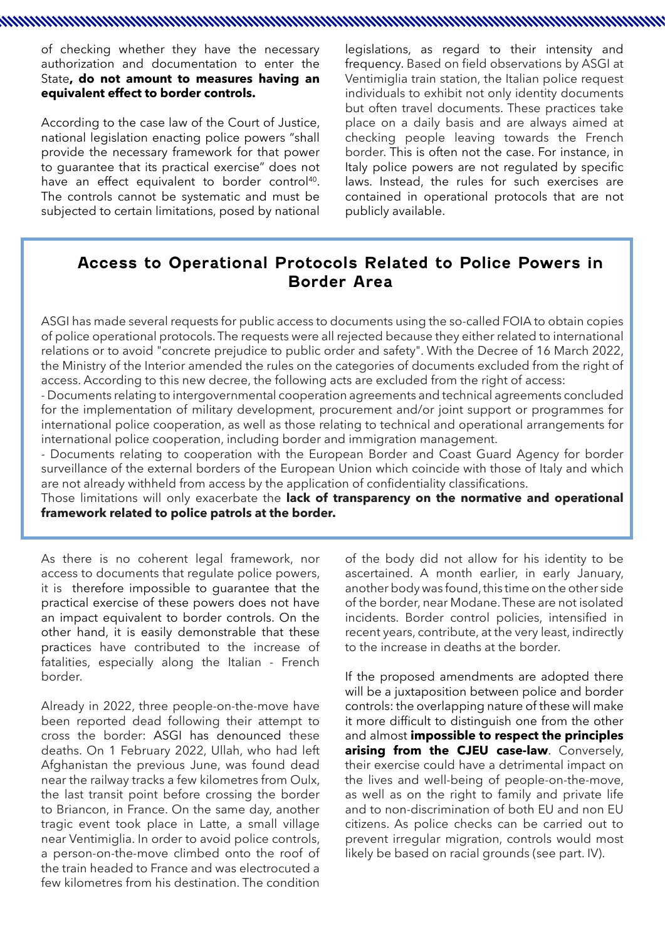of checking whether they have the necessary authorization and documentation to enter the State**, do not amount to measures having an equivalent effect to border controls.** 

According to the case law of the Court of Justice, national legislation enacting police powers "shall provide the necessary framework for that power to guarantee that its practical exercise" does not have an effect equivalent to border control<sup>40</sup>. The controls cannot be systematic and must be subjected to certain limitations, posed by national

legislations, as regard to their intensity and frequency. Based on field observations by ASGI at Ventimiglia train station, the Italian police request individuals to exhibit not only identity documents but often travel documents. These practices take place on a daily basis and are always aimed at checking people leaving towards the French border. This is often not the case. For instance, in Italy police powers are not regulated by specific laws. Instead, the rules for such exercises are contained in operational protocols that are not publicly available.

#### **Access to Operational Protocols Related to Police Powers in Border Area**

a maanaa ka mid ah internasional lagu ah internasional lagu ah internasional lagu ah internasional lagu ah internasional lagu ah internasional lagu ah internasional lagu ah internasional lagu ah internasional lagu ah inter

ASGI has made several requests for public access to documents using the so-called FOIA to obtain copies of police operational protocols. The requests were all rejected because they either related to international relations or to avoid "concrete prejudice to public order and safety". With the Decree of 16 March 2022, the Ministry of the Interior amended the rules on the categories of documents excluded from the right of access. According to this new decree, the following acts are excluded from the right of access:

- Documents relating to intergovernmental cooperation agreements and technical agreements concluded for the implementation of military development, procurement and/or joint support or programmes for international police cooperation, as well as those relating to technical and operational arrangements for international police cooperation, including border and immigration management.

- Documents relating to cooperation with the European Border and Coast Guard Agency for border surveillance of the external borders of the European Union which coincide with those of Italy and which are not already withheld from access by the application of confidentiality classifications.

Those limitations will only exacerbate the **lack of transparency on the normative and operational framework related to police patrols at the border.**

As there is no coherent legal framework, nor access to documents that regulate police powers, it is therefore impossible to guarantee that the practical exercise of these powers does not have an impact equivalent to border controls. On the other hand, it is easily demonstrable that these practices have contributed to the increase of fatalities, especially along the Italian - French border.

Already in 2022, three people-on-the-move have been reported dead following their attempt to cross the border: ASGI has denounced these deaths. On 1 February 2022, Ullah, who had left Afghanistan the previous June, was found dead near the railway tracks a few kilometres from Oulx, the last transit point before crossing the border to Briancon, in France. On the same day, another tragic event took place in Latte, a small village near Ventimiglia. In order to avoid police controls, a person-on-the-move climbed onto the roof of the train headed to France and was electrocuted a few kilometres from his destination. The condition of the body did not allow for his identity to be ascertained. A month earlier, in early January, another body was found, this time on the other side of the border, near Modane. These are not isolated incidents. Border control policies, intensified in recent years, contribute, at the very least, indirectly to the increase in deaths at the border.

If the proposed amendments are adopted there will be a juxtaposition between police and border controls: the overlapping nature of these will make it more difficult to distinguish one from the other and almost **impossible to respect the principles arising from the CJEU case-law**. Conversely, their exercise could have a detrimental impact on the lives and well-being of people-on-the-move, as well as on the right to family and private life and to non-discrimination of both EU and non EU citizens. As police checks can be carried out to prevent irregular migration, controls would most likely be based on racial grounds (see part. IV).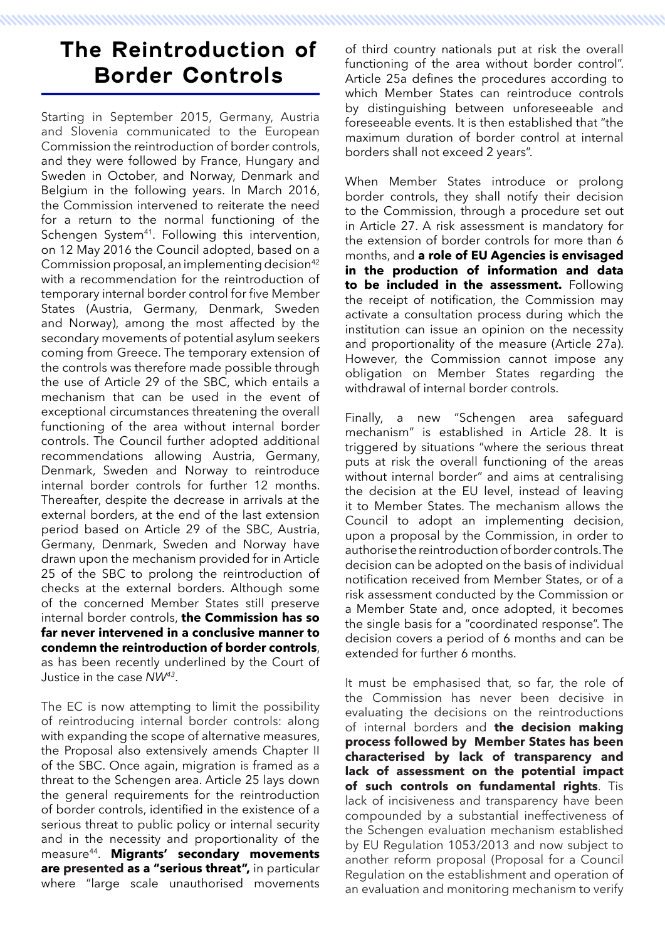# **The Reintroduction of Border Controls**

Starting in September 2015, Germany, Austria and Slovenia communicated to the European Commission the reintroduction of border controls, and they were followed by France, Hungary and Sweden in October, and Norway, Denmark and Belgium in the following years. In March 2016, the Commission intervened to reiterate the need for a return to the normal functioning of the Schengen System<sup>41</sup>. Following this intervention, on 12 May 2016 the Council adopted, based on a Commission proposal, an implementing decision<sup>42</sup> with a recommendation for the reintroduction of temporary internal border control for five Member States (Austria, Germany, Denmark, Sweden and Norway), among the most affected by the secondary movements of potential asylum seekers coming from Greece. The temporary extension of the controls was therefore made possible through the use of Article 29 of the SBC, which entails a mechanism that can be used in the event of exceptional circumstances threatening the overall functioning of the area without internal border controls. The Council further adopted additional recommendations allowing Austria, Germany, Denmark, Sweden and Norway to reintroduce internal border controls for further 12 months. Thereafter, despite the decrease in arrivals at the external borders, at the end of the last extension period based on Article 29 of the SBC, Austria, Germany, Denmark, Sweden and Norway have drawn upon the mechanism provided for in Article 25 of the SBC to prolong the reintroduction of checks at the external borders. Although some of the concerned Member States still preserve internal border controls, **the Commission has so far never intervened in a conclusive manner to condemn the reintroduction of border controls**, as has been recently underlined by the Court of Justice in the case *NW43*.

The EC is now attempting to limit the possibility of reintroducing internal border controls: along with expanding the scope of alternative measures, the Proposal also extensively amends Chapter II of the SBC. Once again, migration is framed as a threat to the Schengen area. Article 25 lays down the general requirements for the reintroduction of border controls, identified in the existence of a serious threat to public policy or internal security and in the necessity and proportionality of the measure44. **Migrants' secondary movements are presented as a "serious threat",** in particular where "large scale unauthorised movements

of third country nationals put at risk the overall functioning of the area without border control". Article 25a defines the procedures according to which Member States can reintroduce controls by distinguishing between unforeseeable and foreseeable events. It is then established that "the maximum duration of border control at internal borders shall not exceed 2 years".

When Member States introduce or prolong border controls, they shall notify their decision to the Commission, through a procedure set out in Article 27. A risk assessment is mandatory for the extension of border controls for more than 6 months, and **a role of EU Agencies is envisaged in the production of information and data to be included in the assessment.** Following the receipt of notification, the Commission may activate a consultation process during which the institution can issue an opinion on the necessity and proportionality of the measure (Article 27a). However, the Commission cannot impose any obligation on Member States regarding the withdrawal of internal border controls.

Finally, a new "Schengen area safeguard mechanism" is established in Article 28. It is triggered by situations "where the serious threat puts at risk the overall functioning of the areas without internal border" and aims at centralising the decision at the EU level, instead of leaving it to Member States. The mechanism allows the Council to adopt an implementing decision, upon a proposal by the Commission, in order to authorise the reintroduction of border controls. The decision can be adopted on the basis of individual notification received from Member States, or of a risk assessment conducted by the Commission or a Member State and, once adopted, it becomes the single basis for a "coordinated response". The decision covers a period of 6 months and can be extended for further 6 months.

It must be emphasised that, so far, the role of the Commission has never been decisive in evaluating the decisions on the reintroductions of internal borders and **the decision making process followed by Member States has been characterised by lack of transparency and lack of assessment on the potential impact of such controls on fundamental rights**. Tis lack of incisiveness and transparency have been compounded by a substantial ineffectiveness of the Schengen evaluation mechanism established by EU Regulation 1053/2013 and now subject to another reform proposal (Proposal for a Council Regulation on the establishment and operation of an evaluation and monitoring mechanism to verify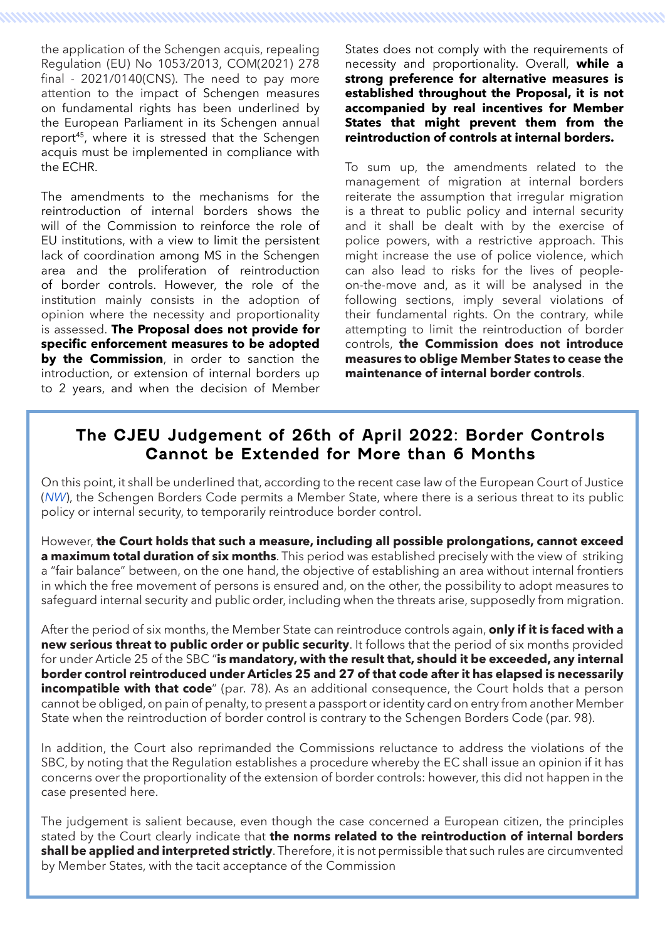the application of the Schengen acquis, repealing Regulation (EU) No 1053/2013, COM(2021) 278 final - 2021/0140(CNS). The need to pay more attention to the impact of Schengen measures on fundamental rights has been underlined by the European Parliament in its Schengen annual report<sup>45</sup>, where it is stressed that the Schengen acquis must be implemented in compliance with the ECHR.

The amendments to the mechanisms for the reintroduction of internal borders shows the will of the Commission to reinforce the role of EU institutions, with a view to limit the persistent lack of coordination among MS in the Schengen area and the proliferation of reintroduction of border controls. However, the role of the institution mainly consists in the adoption of opinion where the necessity and proportionality is assessed. **The Proposal does not provide for specific enforcement measures to be adopted by the Commission**, in order to sanction the introduction, or extension of internal borders up to 2 years, and when the decision of Member States does not comply with the requirements of necessity and proportionality. Overall, **while a strong preference for alternative measures is established throughout the Proposal, it is not accompanied by real incentives for Member States that might prevent them from the reintroduction of controls at internal borders.**

To sum up, the amendments related to the management of migration at internal borders reiterate the assumption that irregular migration is a threat to public policy and internal security and it shall be dealt with by the exercise of police powers, with a restrictive approach. This might increase the use of police violence, which can also lead to risks for the lives of peopleon-the-move and, as it will be analysed in the following sections, imply several violations of their fundamental rights. On the contrary, while attempting to limit the reintroduction of border controls, **the Commission does not introduce measures to oblige Member States to cease the maintenance of internal border controls**.

#### **The CJEU Judgement of 26th of April 2022: Border Controls Cannot be Extended for More than 6 Months**

On this point, it shall be underlined that, according to the recent case law of the European Court of Justice (*NW*), the Schengen Borders Code permits a Member State, where there is a serious threat to its public policy or internal security, to temporarily reintroduce border control.

However, **the Court holds that such a measure, including all possible prolongations, cannot exceed a maximum total duration of six months**. This period was established precisely with the view of striking a "fair balance" between, on the one hand, the objective of establishing an area without internal frontiers in which the free movement of persons is ensured and, on the other, the possibility to adopt measures to safeguard internal security and public order, including when the threats arise, supposedly from migration.

After the period of six months, the Member State can reintroduce controls again, **only if it is faced with a new serious threat to public order or public security**. It follows that the period of six months provided for under Article 25 of the SBC "**is mandatory, with the result that, should it be exceeded, any internal border control reintroduced under Articles 25 and 27 of that code after it has elapsed is necessarily incompatible with that code**" (par. 78). As an additional consequence, the Court holds that a person cannot be obliged, on pain of penalty, to present a passport or identity card on entry from another Member State when the reintroduction of border control is contrary to the Schengen Borders Code (par. 98).

In addition, the Court also reprimanded the Commissions reluctance to address the violations of the SBC, by noting that the Regulation establishes a procedure whereby the EC shall issue an opinion if it has concerns over the proportionality of the extension of border controls: however, this did not happen in the case presented here.

The judgement is salient because, even though the case concerned a European citizen, the principles stated by the Court clearly indicate that **the norms related to the reintroduction of internal borders shall be applied and interpreted strictly**. Therefore, it is not permissible that such rules are circumvented by Member States, with the tacit acceptance of the Commission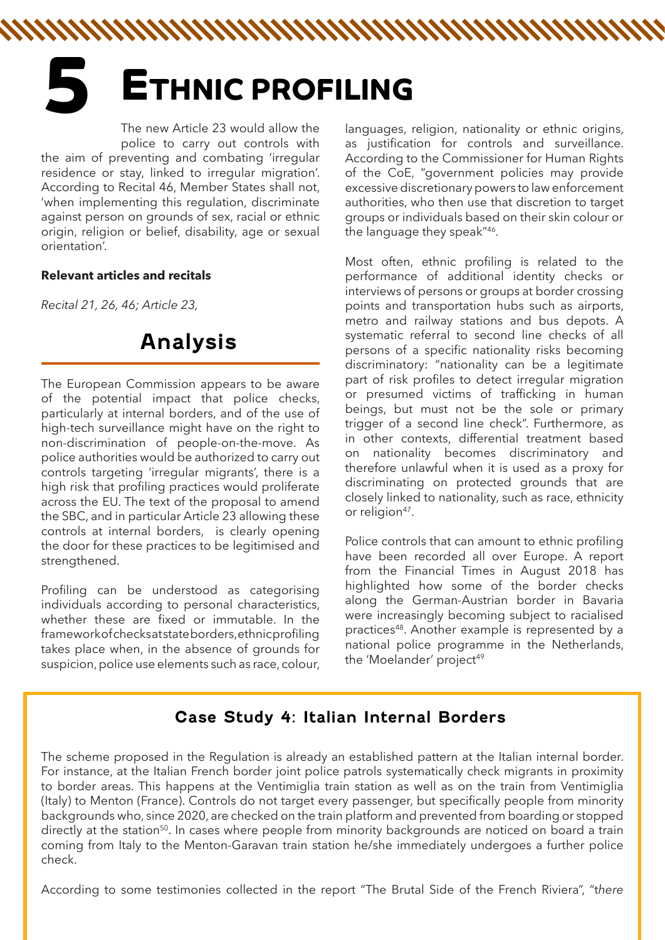# **5 ETHNIC PROFILING**

The new Article 23 would allow the police to carry out controls with the aim of preventing and combating 'irregular residence or stay, linked to irregular migration'. According to Recital 46, Member States shall not, 'when implementing this regulation, discriminate against person on grounds of sex, racial or ethnic origin, religion or belief, disability, age or sexual orientation'.

#### **Relevant articles and recitals**

*Recital 21, 26, 46; Article 23,* 

# **Analysis**

The European Commission appears to be aware of the potential impact that police checks, particularly at internal borders, and of the use of high-tech surveillance might have on the right to non-discrimination of people-on-the-move. As police authorities would be authorized to carry out controls targeting 'irregular migrants', there is a high risk that profiling practices would proliferate across the EU. The text of the proposal to amend the SBC, and in particular Article 23 allowing these controls at internal borders, is clearly opening the door for these practices to be legitimised and strengthened.

Profiling can be understood as categorising individuals according to personal characteristics, whether these are fixed or immutable. In the framework of checks at state borders, ethnic profiling takes place when, in the absence of grounds for suspicion, police use elements such as race, colour,

languages, religion, nationality or ethnic origins, as justification for controls and surveillance. According to the Commissioner for Human Rights of the CoE, "government policies may provide excessive discretionary powers to law enforcement authorities, who then use that discretion to target groups or individuals based on their skin colour or the language they speak"46.

Most often, ethnic profiling is related to the performance of additional identity checks or interviews of persons or groups at border crossing points and transportation hubs such as airports, metro and railway stations and bus depots. A systematic referral to second line checks of all persons of a specific nationality risks becoming discriminatory: "nationality can be a legitimate part of risk profiles to detect irregular migration or presumed victims of trafficking in human beings, but must not be the sole or primary trigger of a second line check". Furthermore, as in other contexts, differential treatment based on nationality becomes discriminatory and therefore unlawful when it is used as a proxy for discriminating on protected grounds that are closely linked to nationality, such as race, ethnicity or religion<sup>47</sup>.

Police controls that can amount to ethnic profiling have been recorded all over Europe. A report from the Financial Times in August 2018 has highlighted how some of the border checks along the German-Austrian border in Bavaria were increasingly becoming subject to racialised practices<sup>48</sup>. Another example is represented by a national police programme in the Netherlands, the 'Moelander' project<sup>49</sup>

#### **Case Study 4: Italian Internal Borders**

The scheme proposed in the Regulation is already an established pattern at the Italian internal border. For instance, at the Italian French border joint police patrols systematically check migrants in proximity to border areas. This happens at the Ventimiglia train station as well as on the train from Ventimiglia (Italy) to Menton (France). Controls do not target every passenger, but specifically people from minority backgrounds who, since 2020, are checked on the train platform and prevented from boarding or stopped directly at the station<sup>50</sup>. In cases where people from minority backgrounds are noticed on board a train coming from Italy to the Menton-Garavan train station he/she immediately undergoes a further police check.

According to some testimonies collected in the report "The Brutal Side of the French Riviera", "t*here*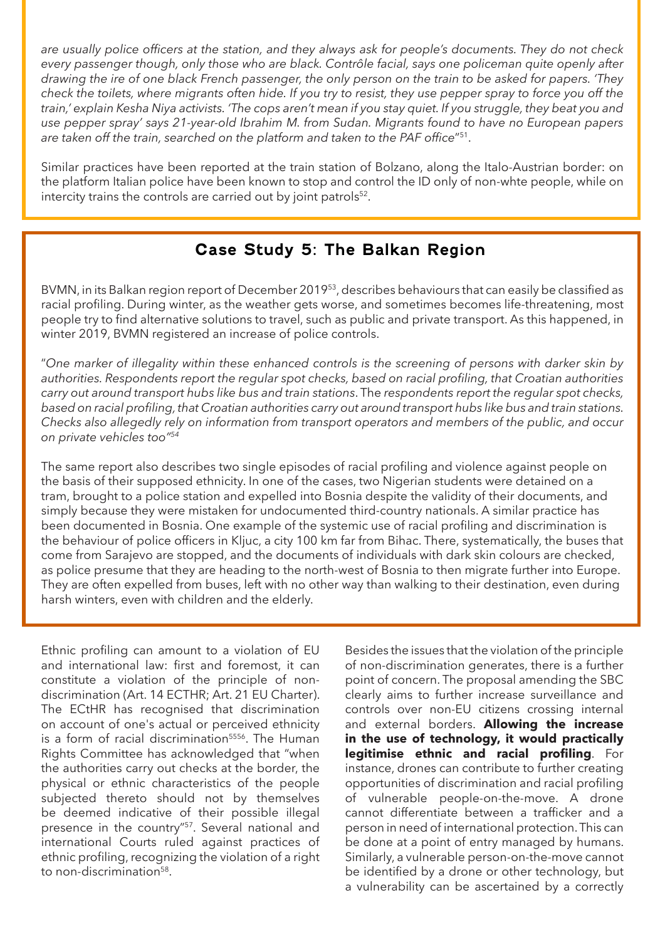*are usually police officers at the station, and they always ask for people's documents. They do not check every passenger though, only those who are black. Contrôle facial, says one policeman quite openly after drawing the ire of one black French passenger, the only person on the train to be asked for papers. 'They check the toilets, where migrants often hide. If you try to resist, they use pepper spray to force you off the train,' explain Kesha Niya activists. 'The cops aren't mean if you stay quiet. If you struggle, they beat you and use pepper spray' says 21-year-old Ibrahim M. from Sudan. Migrants found to have no European papers are taken off the train, searched on the platform and taken to the PAF office*"51.

Similar practices have been reported at the train station of Bolzano, along the Italo-Austrian border: on the platform Italian police have been known to stop and control the ID only of non-whte people, while on intercity trains the controls are carried out by joint patrols<sup>52</sup>.

#### **Case Study 5: The Balkan Region**

BVMN, in its Balkan region report of December 201953, describes behaviours that can easily be classified as racial profiling. During winter, as the weather gets worse, and sometimes becomes life-threatening, most people try to find alternative solutions to travel, such as public and private transport. As this happened, in winter 2019, BVMN registered an increase of police controls.

"*One marker of illegality within these enhanced controls is the screening of persons with darker skin by authorities. Respondents report the regular spot checks, based on racial profiling, that Croatian authorities carry out around transport hubs like bus and train stations*. The *respondents report the regular spot checks, based on racial profiling, that Croatian authorities carry out around transport hubs like bus and train stations. Checks also allegedly rely on information from transport operators and members of the public, and occur on private vehicles too"54*

The same report also describes two single episodes of racial profiling and violence against people on the basis of their supposed ethnicity. In one of the cases, two Nigerian students were detained on a tram, brought to a police station and expelled into Bosnia despite the validity of their documents, and simply because they were mistaken for undocumented third-country nationals. A similar practice has been documented in Bosnia. One example of the systemic use of racial profiling and discrimination is the behaviour of police officers in Kljuc, a city 100 km far from Bihac. There, systematically, the buses that come from Sarajevo are stopped, and the documents of individuals with dark skin colours are checked, as police presume that they are heading to the north-west of Bosnia to then migrate further into Europe. They are often expelled from buses, left with no other way than walking to their destination, even during harsh winters, even with children and the elderly.

Ethnic profiling can amount to a violation of EU and international law: first and foremost, it can constitute a violation of the principle of nondiscrimination (Art. 14 ECTHR; Art. 21 EU Charter). The ECtHR has recognised that discrimination on account of one's actual or perceived ethnicity is a form of racial discrimination<sup>5556</sup>. The Human Rights Committee has acknowledged that "when the authorities carry out checks at the border, the physical or ethnic characteristics of the people subjected thereto should not by themselves be deemed indicative of their possible illegal presence in the country"57. Several national and international Courts ruled against practices of ethnic profiling, recognizing the violation of a right to non-discrimination<sup>58</sup>.

Besides the issues that the violation of the principle of non-discrimination generates, there is a further point of concern. The proposal amending the SBC clearly aims to further increase surveillance and controls over non-EU citizens crossing internal and external borders. **Allowing the increase in the use of technology, it would practically legitimise ethnic and racial profiling**. For instance, drones can contribute to further creating opportunities of discrimination and racial profiling of vulnerable people-on-the-move. A drone cannot differentiate between a trafficker and a person in need of international protection. This can be done at a point of entry managed by humans. Similarly, a vulnerable person-on-the-move cannot be identified by a drone or other technology, but a vulnerability can be ascertained by a correctly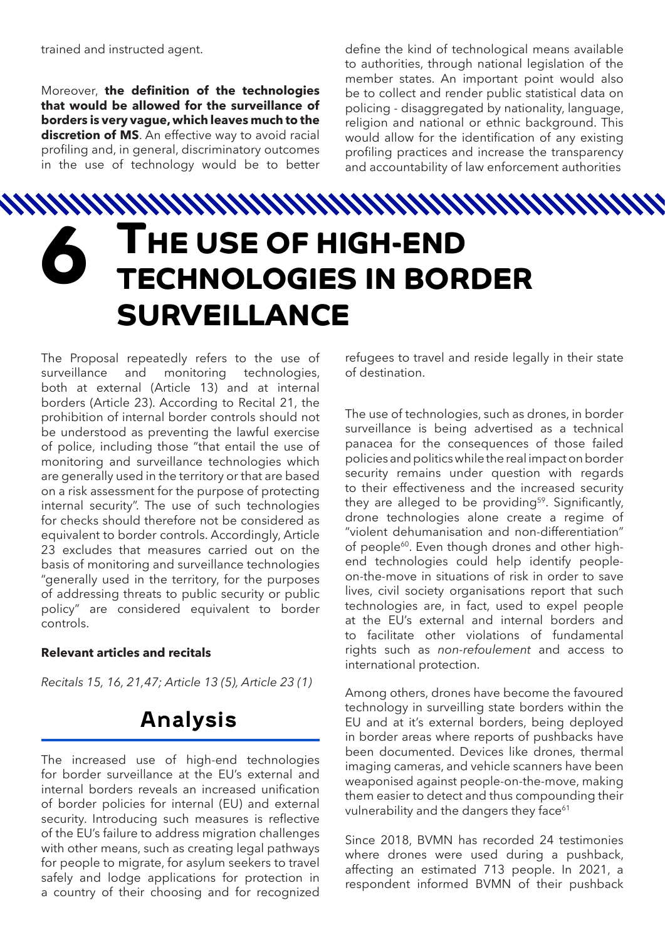Moreover, **the definition of the technologies that would be allowed for the surveillance of borders is very vague, which leaves much to the discretion of MS**. An effective way to avoid racial profiling and, in general, discriminatory outcomes in the use of technology would be to better

define the kind of technological means available to authorities, through national legislation of the member states. An important point would also be to collect and render public statistical data on policing - disaggregated by nationality, language, religion and national or ethnic background. This would allow for the identification of any existing profiling practices and increase the transparency and accountability of law enforcement authorities

# **6 THE USE OF HIGH-END TECHNOLOGIES IN BORDER SURVEILLANCE**

The Proposal repeatedly refers to the use of surveillance and monitoring technologies, both at external (Article 13) and at internal borders (Article 23). According to Recital 21, the prohibition of internal border controls should not be understood as preventing the lawful exercise of police, including those "that entail the use of monitoring and surveillance technologies which are generally used in the territory or that are based on a risk assessment for the purpose of protecting internal security". The use of such technologies for checks should therefore not be considered as equivalent to border controls. Accordingly, Article 23 excludes that measures carried out on the basis of monitoring and surveillance technologies "generally used in the territory, for the purposes of addressing threats to public security or public policy" are considered equivalent to border controls.

#### **Relevant articles and recitals**

*Recitals 15, 16, 21,47; Article 13 (5), Article 23 (1)*

# **Analysis**

The increased use of high-end technologies for border surveillance at the EU's external and internal borders reveals an increased unification of border policies for internal (EU) and external security. Introducing such measures is reflective of the EU's failure to address migration challenges with other means, such as creating legal pathways for people to migrate, for asylum seekers to travel safely and lodge applications for protection in a country of their choosing and for recognized

refugees to travel and reside legally in their state of destination.

The use of technologies, such as drones, in border surveillance is being advertised as a technical panacea for the consequences of those failed policies and politics while the real impact on border security remains under question with regards to their effectiveness and the increased security they are alleged to be providing<sup>59</sup>. Significantly, drone technologies alone create a regime of "violent dehumanisation and non-differentiation" of people<sup>60</sup>. Even though drones and other highend technologies could help identify peopleon-the-move in situations of risk in order to save lives, civil society organisations report that such technologies are, in fact, used to expel people at the EU's external and internal borders and to facilitate other violations of fundamental rights such as *non-refoulement* and access to international protection.

Among others, drones have become the favoured technology in surveilling state borders within the EU and at it's external borders, being deployed in border areas where reports of pushbacks have been documented. Devices like drones, thermal imaging cameras, and vehicle scanners have been weaponised against people-on-the-move, making them easier to detect and thus compounding their vulnerability and the dangers they face<sup>61</sup>

Since 2018, BVMN has recorded 24 testimonies where drones were used during a pushback, affecting an estimated 713 people. In 2021, a respondent informed BVMN of their pushback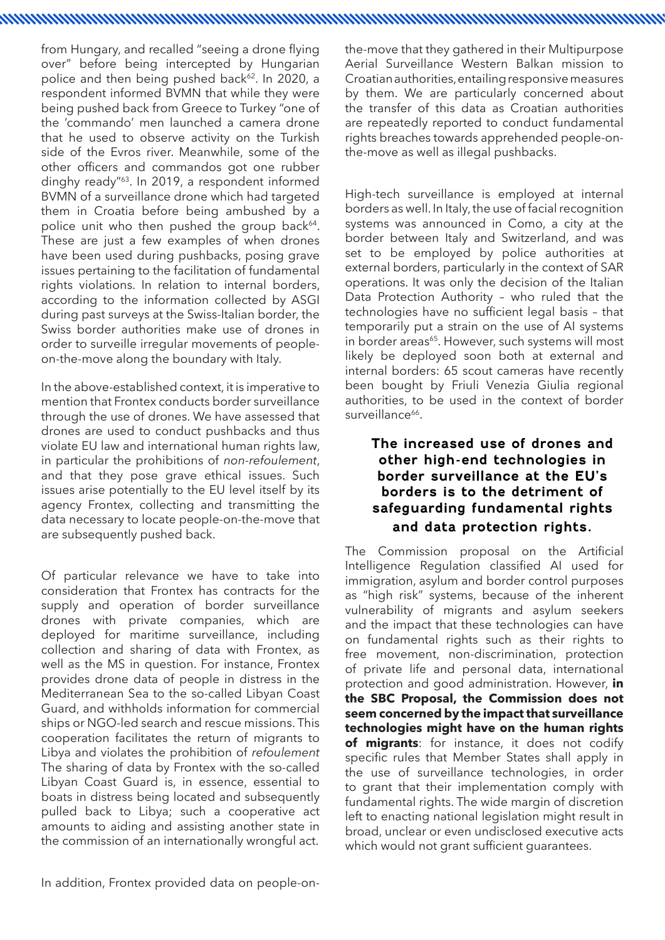from Hungary, and recalled "seeing a drone flying over" before being intercepted by Hungarian police and then being pushed back<sup>62</sup>. In 2020, a respondent informed BVMN that while they were being pushed back from Greece to Turkey "one of the 'commando' men launched a camera drone that he used to observe activity on the Turkish side of the Evros river. Meanwhile, some of the other officers and commandos got one rubber dinghy ready"63. In 2019, a respondent informed BVMN of a surveillance drone which had targeted them in Croatia before being ambushed by a police unit who then pushed the group back<sup>64</sup>. These are just a few examples of when drones have been used during pushbacks, posing grave issues pertaining to the facilitation of fundamental rights violations. In relation to internal borders, according to the information collected by ASGI during past surveys at the Swiss-Italian border, the Swiss border authorities make use of drones in order to surveille irregular movements of peopleon-the-move along the boundary with Italy.

In the above-established context, it is imperative to mention that Frontex conducts border surveillance through the use of drones. We have assessed that drones are used to conduct pushbacks and thus violate EU law and international human rights law, in particular the prohibitions of *non-refoulement*, and that they pose grave ethical issues. Such issues arise potentially to the EU level itself by its agency Frontex, collecting and transmitting the data necessary to locate people-on-the-move that are subsequently pushed back.

Of particular relevance we have to take into consideration that Frontex has contracts for the supply and operation of border surveillance drones with private companies, which are deployed for maritime surveillance, including collection and sharing of data with Frontex, as well as the MS in question. For instance, Frontex provides drone data of people in distress in the Mediterranean Sea to the so-called Libyan Coast Guard, and withholds information for commercial ships or NGO-led search and rescue missions. This cooperation facilitates the return of migrants to Libya and violates the prohibition of *refoulement* The sharing of data by Frontex with the so-called Libyan Coast Guard is, in essence, essential to boats in distress being located and subsequently pulled back to Libya; such a cooperative act amounts to aiding and assisting another state in the commission of an internationally wrongful act.

In addition, Frontex provided data on people-on-

the-move that they gathered in their Multipurpose Aerial Surveillance Western Balkan mission to Croatian authorities, entailing responsive measures by them. We are particularly concerned about the transfer of this data as Croatian authorities are repeatedly reported to conduct fundamental rights breaches towards apprehended people-onthe-move as well as illegal pushbacks.

na maalaa ka maraafi iyo dhaqaan iyo dhaqaan iyo dhaqaan iyo dhaqaan iyo dhaqaan iyo dhaqaan iyo dhaqaan iyo d

High-tech surveillance is employed at internal borders as well. In Italy, the use of facial recognition systems was announced in Como, a city at the border between Italy and Switzerland, and was set to be employed by police authorities at external borders, particularly in the context of SAR operations. It was only the decision of the Italian Data Protection Authority – who ruled that the technologies have no sufficient legal basis – that temporarily put a strain on the use of AI systems in border areas<sup>65</sup>. However, such systems will most likely be deployed soon both at external and internal borders: 65 scout cameras have recently been bought by Friuli Venezia Giulia regional authorities, to be used in the context of border surveillance<sup>66</sup>

#### **The increased use of drones and other high-end technologies in border surveillance at the EU's borders is to the detriment of safeguarding fundamental rights and data protection rights.**

The Commission proposal on the Artificial Intelligence Regulation classified AI used for immigration, asylum and border control purposes as "high risk" systems, because of the inherent vulnerability of migrants and asylum seekers and the impact that these technologies can have on fundamental rights such as their rights to free movement, non-discrimination, protection of private life and personal data, international protection and good administration. However, **in the SBC Proposal, the Commission does not seem concerned by the impact that surveillance technologies might have on the human rights of migrants**: for instance, it does not codify specific rules that Member States shall apply in the use of surveillance technologies, in order to grant that their implementation comply with fundamental rights. The wide margin of discretion left to enacting national legislation might result in broad, unclear or even undisclosed executive acts which would not grant sufficient guarantees.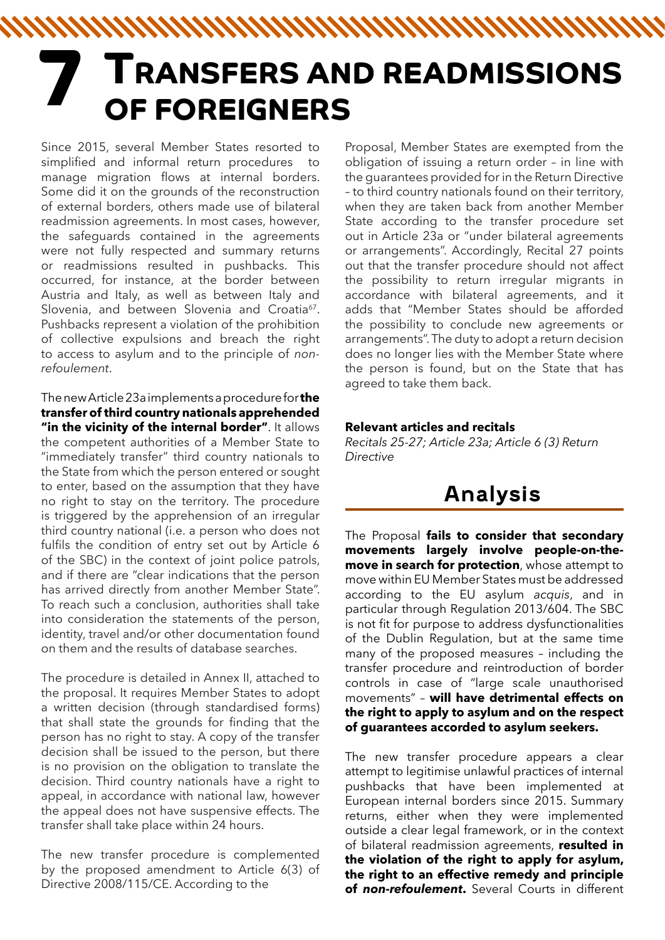# **TRANSFERS AND READMISSIONS 7 OF FOREIGNERS**

Since 2015, several Member States resorted to simplified and informal return procedures to manage migration flows at internal borders. Some did it on the grounds of the reconstruction of external borders, others made use of bilateral readmission agreements. In most cases, however, the safeguards contained in the agreements were not fully respected and summary returns or readmissions resulted in pushbacks. This occurred, for instance, at the border between Austria and Italy, as well as between Italy and Slovenia, and between Slovenia and Croatia<sup>67</sup>. Pushbacks represent a violation of the prohibition of collective expulsions and breach the right to access to asylum and to the principle of *nonrefoulement*.

The new Article 23a implements a procedure for **the transfer of third country nationals apprehended "in the vicinity of the internal border"**. It allows the competent authorities of a Member State to "immediately transfer" third country nationals to the State from which the person entered or sought to enter, based on the assumption that they have no right to stay on the territory. The procedure is triggered by the apprehension of an irregular third country national (i.e. a person who does not fulfils the condition of entry set out by Article 6 of the SBC) in the context of joint police patrols, and if there are "clear indications that the person has arrived directly from another Member State". To reach such a conclusion, authorities shall take into consideration the statements of the person, identity, travel and/or other documentation found on them and the results of database searches.

The procedure is detailed in Annex II, attached to the proposal. It requires Member States to adopt a written decision (through standardised forms) that shall state the grounds for finding that the person has no right to stay. A copy of the transfer decision shall be issued to the person, but there is no provision on the obligation to translate the decision. Third country nationals have a right to appeal, in accordance with national law, however the appeal does not have suspensive effects. The transfer shall take place within 24 hours.

The new transfer procedure is complemented by the proposed amendment to Article 6(3) of Directive 2008/115/CE. According to the

Proposal, Member States are exempted from the obligation of issuing a return order – in line with the guarantees provided for in the Return Directive – to third country nationals found on their territory, when they are taken back from another Member State according to the transfer procedure set out in Article 23a or "under bilateral agreements or arrangements". Accordingly, Recital 27 points out that the transfer procedure should not affect the possibility to return irregular migrants in accordance with bilateral agreements, and it adds that "Member States should be afforded the possibility to conclude new agreements or arrangements". The duty to adopt a return decision does no longer lies with the Member State where the person is found, but on the State that has agreed to take them back.

#### **Relevant articles and recitals**

*Recitals 25-27; Article 23a; Article 6 (3) Return Directive*

# **Analysis**

The Proposal **fails to consider that secondary movements largely involve people-on-themove in search for protection**, whose attempt to move within EU Member States must be addressed according to the EU asylum *acquis*, and in particular through Regulation 2013/604. The SBC is not fit for purpose to address dysfunctionalities of the Dublin Regulation, but at the same time many of the proposed measures – including the transfer procedure and reintroduction of border controls in case of "large scale unauthorised movements" – **will have detrimental effects on the right to apply to asylum and on the respect of guarantees accorded to asylum seekers.**

The new transfer procedure appears a clear attempt to legitimise unlawful practices of internal pushbacks that have been implemented at European internal borders since 2015. Summary returns, either when they were implemented outside a clear legal framework, or in the context of bilateral readmission agreements, **resulted in the violation of the right to apply for asylum, the right to an effective remedy and principle of** *non-refoulement***.** Several Courts in different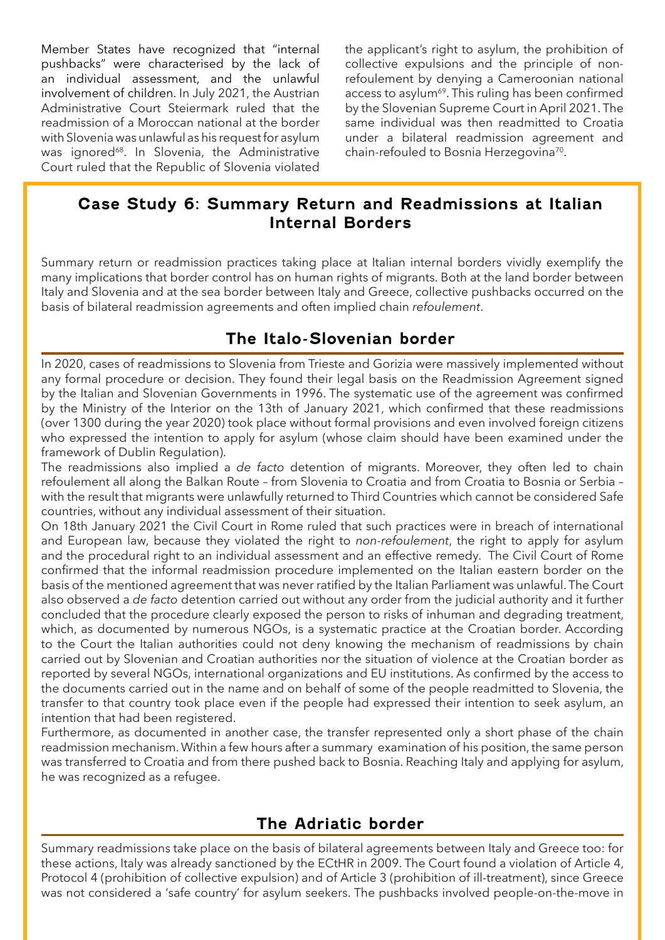Member States have recognized that "internal pushbacks" were characterised by the lack of an individual assessment, and the unlawful involvement of children. In July 2021, the Austrian Administrative Court Steiermark ruled that the readmission of a Moroccan national at the border with Slovenia was unlawful as his request for asylum was ignored<sup>68</sup>. In Slovenia, the Administrative Court ruled that the Republic of Slovenia violated the applicant's right to asylum, the prohibition of collective expulsions and the principle of nonrefoulement by denying a Cameroonian national access to asylum<sup>69</sup>. This ruling has been confirmed by the Slovenian Supreme Court in April 2021. The same individual was then readmitted to Croatia under a bilateral readmission agreement and chain-refouled to Bosnia Herzegovina<sup>70</sup>.

#### **Case Study 6: Summary Return and Readmissions at Italian Internal Borders**

Summary return or readmission practices taking place at Italian internal borders vividly exemplify the many implications that border control has on human rights of migrants. Both at the land border between Italy and Slovenia and at the sea border between Italy and Greece, collective pushbacks occurred on the basis of bilateral readmission agreements and often implied chain *refoulement*.

#### **The Italo-Slovenian border**

In 2020, cases of readmissions to Slovenia from Trieste and Gorizia were massively implemented without any formal procedure or decision. They found their legal basis on the Readmission Agreement signed by the Italian and Slovenian Governments in 1996. The systematic use of the agreement was confirmed by the Ministry of the Interior on the 13th of January 2021, which confirmed that these readmissions (over 1300 during the year 2020) took place without formal provisions and even involved foreign citizens who expressed the intention to apply for asylum (whose claim should have been examined under the framework of Dublin Regulation).

The readmissions also implied a *de facto* detention of migrants. Moreover, they often led to chain refoulement all along the Balkan Route – from Slovenia to Croatia and from Croatia to Bosnia or Serbia – with the result that migrants were unlawfully returned to Third Countries which cannot be considered Safe countries, without any individual assessment of their situation.

On 18th January 2021 the Civil Court in Rome ruled that such practices were in breach of international and European law, because they violated the right to *non-refoulement*, the right to apply for asylum and the procedural right to an individual assessment and an effective remedy. The Civil Court of Rome confirmed that the informal readmission procedure implemented on the Italian eastern border on the basis of the mentioned agreement that was never ratified by the Italian Parliament was unlawful. The Court also observed a *de facto* detention carried out without any order from the judicial authority and it further concluded that the procedure clearly exposed the person to risks of inhuman and degrading treatment, which, as documented by numerous NGOs, is a systematic practice at the Croatian border. According to the Court the Italian authorities could not deny knowing the mechanism of readmissions by chain carried out by Slovenian and Croatian authorities nor the situation of violence at the Croatian border as reported by several NGOs, international organizations and EU institutions. As confirmed by the access to the documents carried out in the name and on behalf of some of the people readmitted to Slovenia, the transfer to that country took place even if the people had expressed their intention to seek asylum, an intention that had been registered.

Furthermore, as documented in another case, the transfer represented only a short phase of the chain readmission mechanism. Within a few hours after a summary examination of his position, the same person was transferred to Croatia and from there pushed back to Bosnia. Reaching Italy and applying for asylum, he was recognized as a refugee.

#### **The Adriatic border**

Summary readmissions take place on the basis of bilateral agreements between Italy and Greece too: for these actions, Italy was already sanctioned by the ECtHR in 2009. The Court found a violation of Article 4, Protocol 4 (prohibition of collective expulsion) and of Article 3 (prohibition of ill-treatment), since Greece was not considered a 'safe country' for asylum seekers. The pushbacks involved people-on-the-move in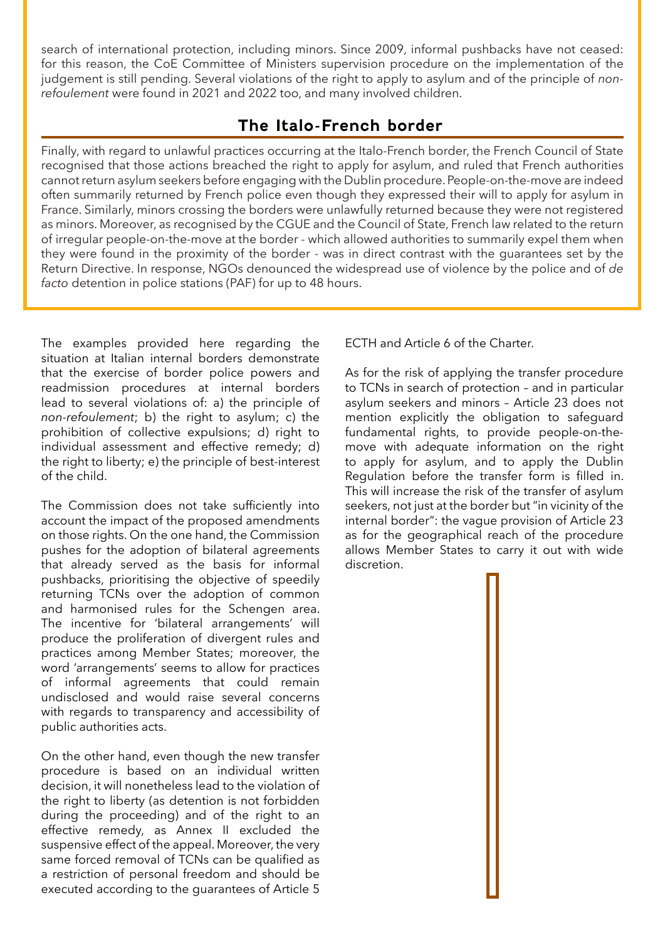search of international protection, including minors. Since 2009, informal pushbacks have not ceased: for this reason, the CoE Committee of Ministers supervision procedure on the implementation of the judgement is still pending. Several violations of the right to apply to asylum and of the principle of *nonrefoulement* were found in 2021 and 2022 too, and many involved children.

#### **The Italo-French border**

Finally, with regard to unlawful practices occurring at the Italo-French border, the French Council of State recognised that those actions breached the right to apply for asylum, and ruled that French authorities cannot return asylum seekers before engaging with the Dublin procedure. People-on-the-move are indeed often summarily returned by French police even though they expressed their will to apply for asylum in France. Similarly, minors crossing the borders were unlawfully returned because they were not registered as minors. Moreover, as recognised by the CGUE and the Council of State, French law related to the return of irregular people-on-the-move at the border - which allowed authorities to summarily expel them when they were found in the proximity of the border - was in direct contrast with the guarantees set by the Return Directive. In response, NGOs denounced the widespread use of violence by the police and of *de facto* detention in police stations (PAF) for up to 48 hours.

The examples provided here regarding the situation at Italian internal borders demonstrate that the exercise of border police powers and readmission procedures at internal borders lead to several violations of: a) the principle of *non-refoulement*; b) the right to asylum; c) the prohibition of collective expulsions; d) right to individual assessment and effective remedy; d) the right to liberty; e) the principle of best-interest of the child.

The Commission does not take sufficiently into account the impact of the proposed amendments on those rights. On the one hand, the Commission pushes for the adoption of bilateral agreements that already served as the basis for informal pushbacks, prioritising the objective of speedily returning TCNs over the adoption of common and harmonised rules for the Schengen area. The incentive for 'bilateral arrangements' will produce the proliferation of divergent rules and practices among Member States; moreover, the word 'arrangements' seems to allow for practices of informal agreements that could remain undisclosed and would raise several concerns with regards to transparency and accessibility of public authorities acts.

On the other hand, even though the new transfer procedure is based on an individual written decision, it will nonetheless lead to the violation of the right to liberty (as detention is not forbidden during the proceeding) and of the right to an effective remedy, as Annex II excluded the suspensive effect of the appeal. Moreover, the very same forced removal of TCNs can be qualified as a restriction of personal freedom and should be executed according to the guarantees of Article 5

ECTH and Article 6 of the Charter.

As for the risk of applying the transfer procedure to TCNs in search of protection – and in particular asylum seekers and minors – Article 23 does not mention explicitly the obligation to safeguard fundamental rights, to provide people-on-themove with adequate information on the right to apply for asylum, and to apply the Dublin Regulation before the transfer form is filled in. This will increase the risk of the transfer of asylum seekers, not just at the border but "in vicinity of the internal border": the vague provision of Article 23 as for the geographical reach of the procedure allows Member States to carry it out with wide discretion.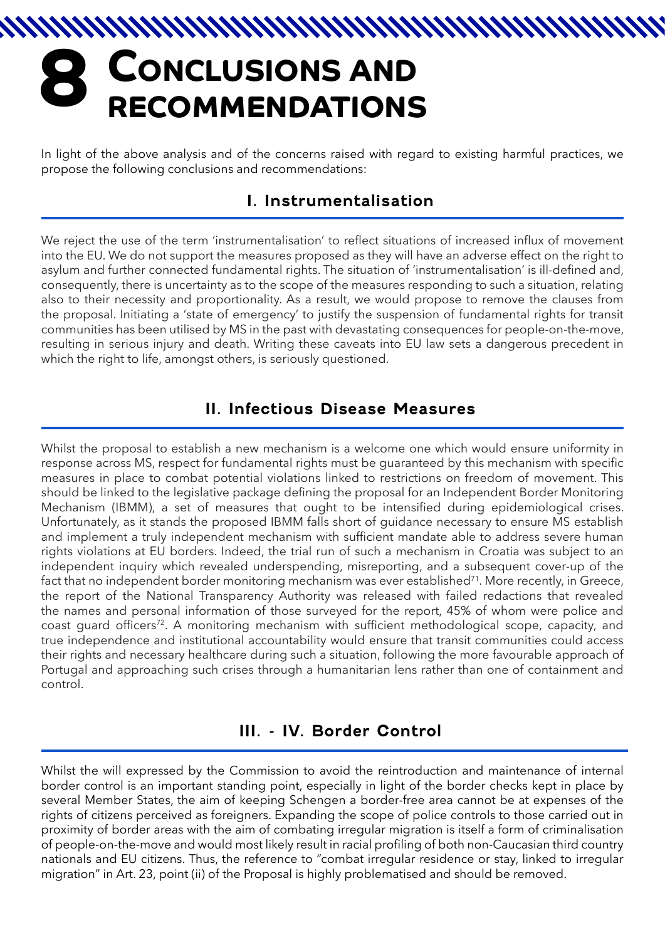# **CONCLUSIONS AND 8 RECOMMENDATIONS**

In light of the above analysis and of the concerns raised with regard to existing harmful practices, we propose the following conclusions and recommendations:

#### **I. Instrumentalisation**

We reject the use of the term 'instrumentalisation' to reflect situations of increased influx of movement into the EU. We do not support the measures proposed as they will have an adverse effect on the right to asylum and further connected fundamental rights. The situation of 'instrumentalisation' is ill-defined and, consequently, there is uncertainty as to the scope of the measures responding to such a situation, relating also to their necessity and proportionality. As a result, we would propose to remove the clauses from the proposal. Initiating a 'state of emergency' to justify the suspension of fundamental rights for transit communities has been utilised by MS in the past with devastating consequences for people-on-the-move, resulting in serious injury and death. Writing these caveats into EU law sets a dangerous precedent in which the right to life, amongst others, is seriously questioned.

#### **II. Infectious Disease Measures**

Whilst the proposal to establish a new mechanism is a welcome one which would ensure uniformity in response across MS, respect for fundamental rights must be guaranteed by this mechanism with specific measures in place to combat potential violations linked to restrictions on freedom of movement. This should be linked to the legislative package defining the proposal for an Independent Border Monitoring Mechanism (IBMM), a set of measures that ought to be intensified during epidemiological crises. Unfortunately, as it stands the proposed IBMM falls short of guidance necessary to ensure MS establish and implement a truly independent mechanism with sufficient mandate able to address severe human rights violations at EU borders. Indeed, the trial run of such a mechanism in Croatia was subject to an independent inquiry which revealed underspending, misreporting, and a subsequent cover-up of the fact that no independent border monitoring mechanism was ever established<sup>71</sup>. More recently, in Greece, the report of the National Transparency Authority was released with failed redactions that revealed the names and personal information of those surveyed for the report, 45% of whom were police and coast guard officers<sup>72</sup>. A monitoring mechanism with sufficient methodological scope, capacity, and true independence and institutional accountability would ensure that transit communities could access their rights and necessary healthcare during such a situation, following the more favourable approach of Portugal and approaching such crises through a humanitarian lens rather than one of containment and control.

#### **III. - IV. Border Control**

Whilst the will expressed by the Commission to avoid the reintroduction and maintenance of internal border control is an important standing point, especially in light of the border checks kept in place by several Member States, the aim of keeping Schengen a border-free area cannot be at expenses of the rights of citizens perceived as foreigners. Expanding the scope of police controls to those carried out in proximity of border areas with the aim of combating irregular migration is itself a form of criminalisation of people-on-the-move and would most likely result in racial profiling of both non-Caucasian third country nationals and EU citizens. Thus, the reference to "combat irregular residence or stay, linked to irregular migration" in Art. 23, point (ii) of the Proposal is highly problematised and should be removed.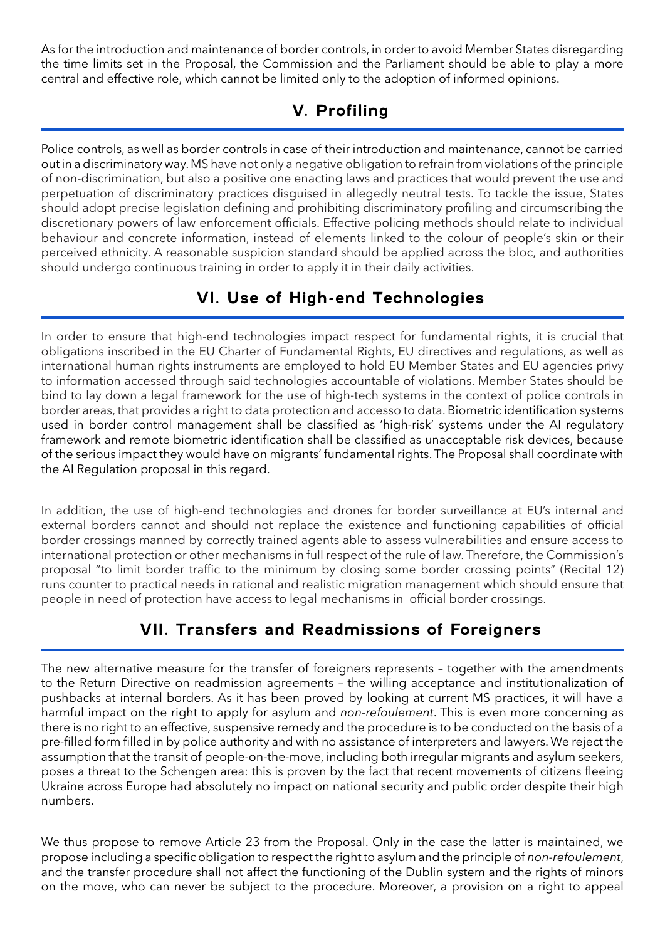As for the introduction and maintenance of border controls, in order to avoid Member States disregarding the time limits set in the Proposal, the Commission and the Parliament should be able to play a more central and effective role, which cannot be limited only to the adoption of informed opinions.

#### **V. Profiling**

Police controls, as well as border controls in case of their introduction and maintenance, cannot be carried out in a discriminatory way. MS have not only a negative obligation to refrain from violations of the principle of non-discrimination, but also a positive one enacting laws and practices that would prevent the use and perpetuation of discriminatory practices disguised in allegedly neutral tests. To tackle the issue, States should adopt precise legislation defining and prohibiting discriminatory profiling and circumscribing the discretionary powers of law enforcement officials. Effective policing methods should relate to individual behaviour and concrete information, instead of elements linked to the colour of people's skin or their perceived ethnicity. A reasonable suspicion standard should be applied across the bloc, and authorities should undergo continuous training in order to apply it in their daily activities.

#### **VI. Use of High-end Technologies**

In order to ensure that high-end technologies impact respect for fundamental rights, it is crucial that obligations inscribed in the EU Charter of Fundamental Rights, EU directives and regulations, as well as international human rights instruments are employed to hold EU Member States and EU agencies privy to information accessed through said technologies accountable of violations. Member States should be bind to lay down a legal framework for the use of high-tech systems in the context of police controls in border areas, that provides a right to data protection and accesso to data. Biometric identification systems used in border control management shall be classified as 'high-risk' systems under the AI regulatory framework and remote biometric identification shall be classified as unacceptable risk devices, because of the serious impact they would have on migrants' fundamental rights. The Proposal shall coordinate with the AI Regulation proposal in this regard.

In addition, the use of high-end technologies and drones for border surveillance at EU's internal and external borders cannot and should not replace the existence and functioning capabilities of official border crossings manned by correctly trained agents able to assess vulnerabilities and ensure access to international protection or other mechanisms in full respect of the rule of law. Therefore, the Commission's proposal "to limit border traffic to the minimum by closing some border crossing points" (Recital 12) runs counter to practical needs in rational and realistic migration management which should ensure that people in need of protection have access to legal mechanisms in official border crossings.

#### **VII. Transfers and Readmissions of Foreigners**

The new alternative measure for the transfer of foreigners represents – together with the amendments to the Return Directive on readmission agreements – the willing acceptance and institutionalization of pushbacks at internal borders. As it has been proved by looking at current MS practices, it will have a harmful impact on the right to apply for asylum and *non-refoulement*. This is even more concerning as there is no right to an effective, suspensive remedy and the procedure is to be conducted on the basis of a pre-filled form filled in by police authority and with no assistance of interpreters and lawyers. We reject the assumption that the transit of people-on-the-move, including both irregular migrants and asylum seekers, poses a threat to the Schengen area: this is proven by the fact that recent movements of citizens fleeing Ukraine across Europe had absolutely no impact on national security and public order despite their high numbers.

We thus propose to remove Article 23 from the Proposal. Only in the case the latter is maintained, we propose including a specific obligation to respect the right to asylum and the principle of *non-refoulement*, and the transfer procedure shall not affect the functioning of the Dublin system and the rights of minors on the move, who can never be subject to the procedure. Moreover, a provision on a right to appeal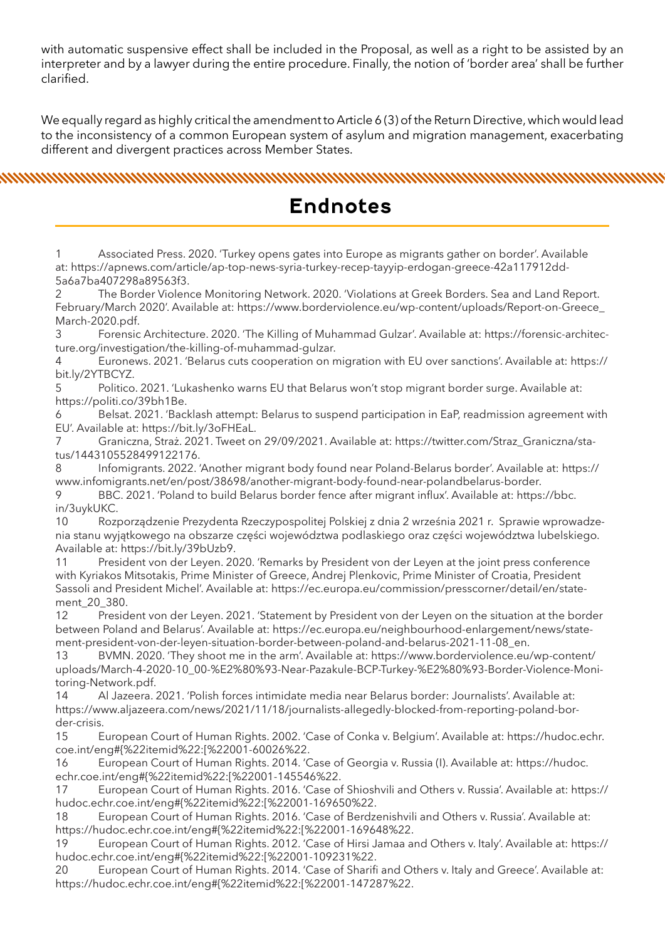with automatic suspensive effect shall be included in the Proposal, as well as a right to be assisted by an interpreter and by a lawyer during the entire procedure. Finally, the notion of 'border area' shall be further clarified.

We equally regard as highly critical the amendment to Article 6 (3) of the Return Directive, which would lead to the inconsistency of a common European system of asylum and migration management, exacerbating different and divergent practices across Member States.

nnummummummummummummummummummummummumummum

## **Endnotes**

1 Associated Press. 2020. 'Turkey opens gates into Europe as migrants gather on border'. Available at: https://apnews.com/article/ap-top-news-syria-turkey-recep-tayyip-erdogan-greece-42a117912dd-5a6a7ba407298a89563f3.

2 The Border Violence Monitoring Network. 2020. 'Violations at Greek Borders. Sea and Land Report. February/March 2020'. Available at: https://www.borderviolence.eu/wp-content/uploads/Report-on-Greece\_ March-2020.pdf.

3 Forensic Architecture. 2020. 'The Killing of Muhammad Gulzar'. Available at: https://forensic-architecture.org/investigation/the-killing-of-muhammad-gulzar.

4 Euronews. 2021. 'Belarus cuts cooperation on migration with EU over sanctions'. Available at: https:// bit.ly/2YTBCYZ.

5 Politico. 2021. 'Lukashenko warns EU that Belarus won't stop migrant border surge. Available at: https://politi.co/39bh1Be.

6 Belsat. 2021. 'Backlash attempt: Belarus to suspend participation in EaP, readmission agreement with EU'. Available at: https://bit.ly/3oFHEaL.

7 Graniczna, Straż. 2021. Tweet on 29/09/2021. Available at: https://twitter.com/Straz\_Graniczna/status/1443105528499122176.

8 Infomigrants. 2022. 'Another migrant body found near Poland-Belarus border'. Available at: https:// www.infomigrants.net/en/post/38698/another-migrant-body-found-near-polandbelarus-border.

9 BBC. 2021. 'Poland to build Belarus border fence after migrant influx'. Available at: https://bbc. in/3uykUKC.

10 Rozporządzenie Prezydenta Rzeczypospolitej Polskiej z dnia 2 września 2021 r. Sprawie wprowadzenia stanu wyjątkowego na obszarze części województwa podlaskiego oraz części województwa lubelskiego. Available at: https://bit.ly/39bUzb9.

11 President von der Leyen. 2020. 'Remarks by President von der Leyen at the joint press conference with Kyriakos Mitsotakis, Prime Minister of Greece, Andrej Plenkovic, Prime Minister of Croatia, President Sassoli and President Michel'. Available at: https://ec.europa.eu/commission/presscorner/detail/en/statement\_20\_380.

12 President von der Leyen. 2021. 'Statement by President von der Leyen on the situation at the border between Poland and Belarus'. Available at: https://ec.europa.eu/neighbourhood-enlargement/news/statement-president-von-der-leyen-situation-border-between-poland-and-belarus-2021-11-08\_en.

13 BVMN. 2020. 'They shoot me in the arm'. Available at: https://www.borderviolence.eu/wp-content/ uploads/March-4-2020-10\_00-%E2%80%93-Near-Pazakule-BCP-Turkey-%E2%80%93-Border-Violence-Monitoring-Network.pdf.

14 Al Jazeera. 2021. 'Polish forces intimidate media near Belarus border: Journalists'. Available at: https://www.aljazeera.com/news/2021/11/18/journalists-allegedly-blocked-from-reporting-poland-border-crisis.

15 European Court of Human Rights. 2002. 'Case of Conka v. Belgium'. Available at: https://hudoc.echr. coe.int/eng#{%22itemid%22:[%22001-60026%22.

16 European Court of Human Rights. 2014. 'Case of Georgia v. Russia (I). Available at: https://hudoc. echr.coe.int/eng#{%22itemid%22:[%22001-145546%22.

17 European Court of Human Rights. 2016. 'Case of Shioshvili and Others v. Russia'. Available at: https:// hudoc.echr.coe.int/eng#{%22itemid%22:[%22001-169650%22.

18 European Court of Human Rights. 2016. 'Case of Berdzenishvili and Others v. Russia'. Available at: https://hudoc.echr.coe.int/eng#{%22itemid%22:[%22001-169648%22.

19 European Court of Human Rights. 2012. 'Case of Hirsi Jamaa and Others v. Italy'. Available at: https:// hudoc.echr.coe.int/eng#{%22itemid%22:[%22001-109231%22.

20 European Court of Human Rights. 2014. 'Case of Sharifi and Others v. Italy and Greece'. Available at: https://hudoc.echr.coe.int/eng#{%22itemid%22:[%22001-147287%22.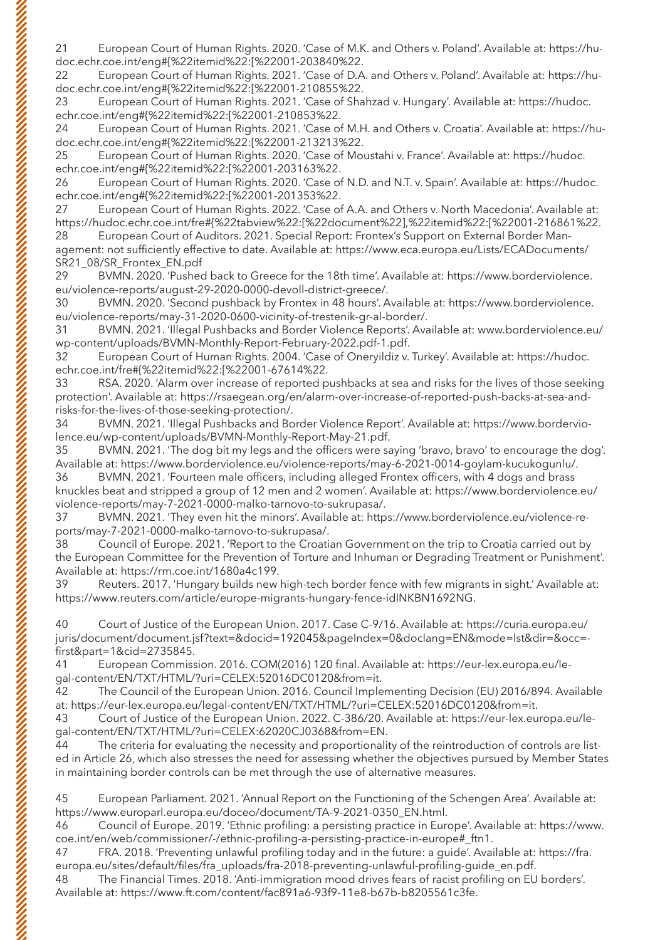21 European Court of Human Rights. 2020. 'Case of M.K. and Others v. Poland'. Available at: https://hudoc.echr.coe.int/eng#{%22itemid%22:[%22001-203840%22.

22 European Court of Human Rights. 2021. 'Case of D.A. and Others v. Poland'. Available at: https://hudoc.echr.coe.int/eng#{%22itemid%22:[%22001-210855%22.

23 European Court of Human Rights. 2021. 'Case of Shahzad v. Hungary'. Available at: https://hudoc. echr.coe.int/eng#{%22itemid%22:[%22001-210853%22.

24 European Court of Human Rights. 2021. 'Case of M.H. and Others v. Croatia'. Available at: https://hudoc.echr.coe.int/eng#{%22itemid%22:[%22001-213213%22.

25 European Court of Human Rights. 2020. 'Case of Moustahi v. France'. Available at: https://hudoc. echr.coe.int/eng#{%22itemid%22:[%22001-203163%22.

26 European Court of Human Rights. 2020. 'Case of N.D. and N.T. v. Spain'. Available at: https://hudoc. echr.coe.int/eng#{%22itemid%22:[%22001-201353%22.

27 European Court of Human Rights. 2022. 'Case of A.A. and Others v. North Macedonia'. Available at: https://hudoc.echr.coe.int/fre#{%22tabview%22:[%22document%22],%22itemid%22:[%22001-216861%22. 28 European Court of Auditors. 2021. Special Report: Frontex's Support on External Border Man-

agement: not sufficiently effective to date. Available at: https://www.eca.europa.eu/Lists/ECADocuments/ SR21\_08/SR\_Frontex\_EN.pdf

29 BVMN. 2020. 'Pushed back to Greece for the 18th time'. Available at: https://www.borderviolence. eu/violence-reports/august-29-2020-0000-devoll-district-greece/.

30 BVMN. 2020. 'Second pushback by Frontex in 48 hours'. Available at: https://www.borderviolence. eu/violence-reports/may-31-2020-0600-vicinity-of-trestenik-gr-al-border/.

31 BVMN. 2021. 'Illegal Pushbacks and Border Violence Reports'. Available at: www.borderviolence.eu/ wp-content/uploads/BVMN-Monthly-Report-February-2022.pdf-1.pdf.

32 European Court of Human Rights. 2004. 'Case of Oneryildiz v. Turkey'. Available at: https://hudoc. echr.coe.int/fre#{%22itemid%22:[%22001-67614%22.

33 RSA. 2020. 'Alarm over increase of reported pushbacks at sea and risks for the lives of those seeking protection'. Available at: https://rsaegean.org/en/alarm-over-increase-of-reported-push-backs-at-sea-andrisks-for-the-lives-of-those-seeking-protection/.

34 BVMN. 2021. 'Illegal Pushbacks and Border Violence Report'. Available at: https://www.borderviolence.eu/wp-content/uploads/BVMN-Monthly-Report-May-21.pdf.

35 BVMN. 2021. 'The dog bit my legs and the officers were saying 'bravo, bravo' to encourage the dog'. Available at: https://www.borderviolence.eu/violence-reports/may-6-2021-0014-goylam-kucukogunlu/.

36 BVMN. 2021. 'Fourteen male officers, including alleged Frontex officers, with 4 dogs and brass knuckles beat and stripped a group of 12 men and 2 women'. Available at: https://www.borderviolence.eu/ violence-reports/may-7-2021-0000-malko-tarnovo-to-sukrupasa/.

37 BVMN. 2021. 'They even hit the minors'. Available at: https://www.borderviolence.eu/violence-reports/may-7-2021-0000-malko-tarnovo-to-sukrupasa/.

38 Council of Europe. 2021. 'Report to the Croatian Government on the trip to Croatia carried out by the European Committee for the Prevention of Torture and Inhuman or Degrading Treatment or Punishment'. Available at: https://rm.coe.int/1680a4c199.

39 Reuters. 2017. 'Hungary builds new high-tech border fence with few migrants in sight.' Available at: https://www.reuters.com/article/europe-migrants-hungary-fence-idINKBN1692NG.

40 Court of Justice of the European Union. 2017. Case C-9/16. Available at: https://curia.europa.eu/ juris/document/document.jsf?text=&docid=192045&pageIndex=0&doclang=EN&mode=lst&dir=&occ= first&part=1&cid=2735845.

41 European Commission. 2016. COM(2016) 120 final. Available at: https://eur-lex.europa.eu/legal-content/EN/TXT/HTML/?uri=CELEX:52016DC0120&from=it.

42 The Council of the European Union. 2016. Council Implementing Decision (EU) 2016/894. Available at: https://eur-lex.europa.eu/legal-content/EN/TXT/HTML/?uri=CELEX:52016DC0120&from=it.

43 Court of Justice of the European Union. 2022. C-386/20. Available at: https://eur-lex.europa.eu/legal-content/EN/TXT/HTML/?uri=CELEX:62020CJ0368&from=EN.

44 The criteria for evaluating the necessity and proportionality of the reintroduction of controls are listed in Article 26, which also stresses the need for assessing whether the objectives pursued by Member States in maintaining border controls can be met through the use of alternative measures.

45 European Parliament. 2021. 'Annual Report on the Functioning of the Schengen Area'. Available at: https://www.europarl.europa.eu/doceo/document/TA-9-2021-0350\_EN.html.

46 Council of Europe. 2019. 'Ethnic profiling: a persisting practice in Europe'. Available at: https://www. coe.int/en/web/commissioner/-/ethnic-profiling-a-persisting-practice-in-europe#\_ftn1.

47 FRA. 2018. 'Preventing unlawful profiling today and in the future: a guide'. Available at: https://fra. europa.eu/sites/default/files/fra\_uploads/fra-2018-preventing-unlawful-profiling-guide\_en.pdf.

48 The Financial Times. 2018. 'Anti-immigration mood drives fears of racist profiling on EU borders'. Available at: https://www.ft.com/content/fac891a6-93f9-11e8-b67b-b8205561c3fe.